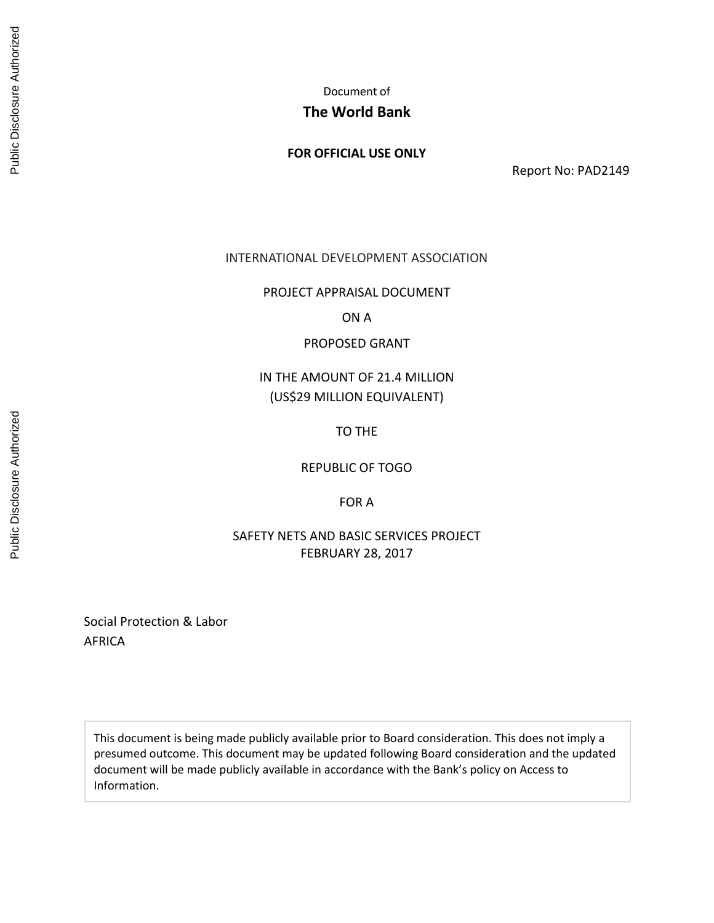Document of

# **The World Bank**

# **FOR OFFICIAL USE ONLY**

Report No: PAD2149

## INTERNATIONAL DEVELOPMENT ASSOCIATION

PROJECT APPRAISAL DOCUMENT

ON A

PROPOSED GRANT

# IN THE AMOUNT OF 21.4 MILLION (US\$29 MILLION EQUIVALENT)

TO THE

REPUBLIC OF TOGO

FOR A

SAFETY NETS AND BASIC SERVICES PROJECT FEBRUARY 28, 2017

Social Protection & Labor AFRICA

This document is being made publicly available prior to Board consideration. This does not imply a presumed outcome. This document may be updated following Board consideration and the updated document will be made publicly available in accordance with the Bank's policy on Access to Information.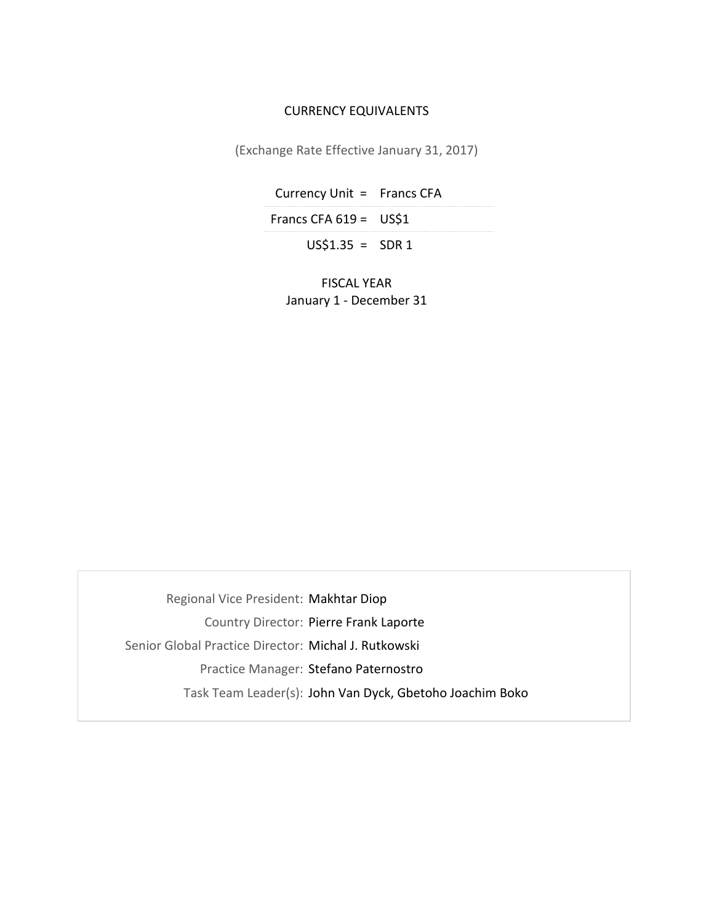#### CURRENCY EQUIVALENTS

(Exchange Rate Effective January 31, 2017)

Currency Unit = Francs CFA Francs CFA  $619 = US$1$ 

 $US$1.35 = SDR 1$ 

FISCAL YEAR January 1 - December 31

Regional Vice President: Makhtar Diop Country Director: Pierre Frank Laporte Senior Global Practice Director: Michal J. Rutkowski Practice Manager: Stefano Paternostro Task Team Leader(s): John Van Dyck, Gbetoho Joachim Boko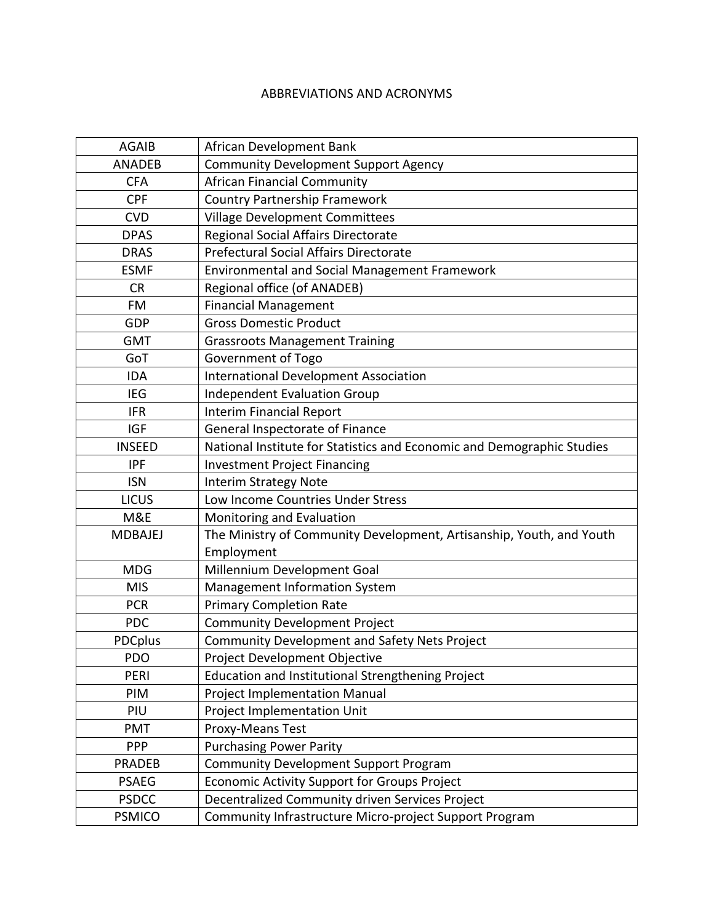## ABBREVIATIONS AND ACRONYMS

| <b>AGAIB</b>   | African Development Bank                                               |
|----------------|------------------------------------------------------------------------|
| <b>ANADEB</b>  | <b>Community Development Support Agency</b>                            |
| <b>CFA</b>     | <b>African Financial Community</b>                                     |
| <b>CPF</b>     | <b>Country Partnership Framework</b>                                   |
| <b>CVD</b>     | <b>Village Development Committees</b>                                  |
| <b>DPAS</b>    | Regional Social Affairs Directorate                                    |
| <b>DRAS</b>    | Prefectural Social Affairs Directorate                                 |
| <b>ESMF</b>    | <b>Environmental and Social Management Framework</b>                   |
| <b>CR</b>      | Regional office (of ANADEB)                                            |
| FM             | <b>Financial Management</b>                                            |
| GDP            | <b>Gross Domestic Product</b>                                          |
| <b>GMT</b>     | <b>Grassroots Management Training</b>                                  |
| GoT            | Government of Togo                                                     |
| <b>IDA</b>     | <b>International Development Association</b>                           |
| <b>IEG</b>     | <b>Independent Evaluation Group</b>                                    |
| <b>IFR</b>     | <b>Interim Financial Report</b>                                        |
| <b>IGF</b>     | General Inspectorate of Finance                                        |
| <b>INSEED</b>  | National Institute for Statistics and Economic and Demographic Studies |
| <b>IPF</b>     | <b>Investment Project Financing</b>                                    |
| <b>ISN</b>     | <b>Interim Strategy Note</b>                                           |
| <b>LICUS</b>   | Low Income Countries Under Stress                                      |
| M&E            | Monitoring and Evaluation                                              |
| <b>MDBAJEJ</b> | The Ministry of Community Development, Artisanship, Youth, and Youth   |
|                | Employment                                                             |
| <b>MDG</b>     | Millennium Development Goal                                            |
| <b>MIS</b>     | Management Information System                                          |
| <b>PCR</b>     | <b>Primary Completion Rate</b>                                         |
| <b>PDC</b>     | <b>Community Development Project</b>                                   |
| <b>PDCplus</b> | <b>Community Development and Safety Nets Project</b>                   |
| PDO            | Project Development Objective                                          |
| PERI           | Education and Institutional Strengthening Project                      |
| PIM            | <b>Project Implementation Manual</b>                                   |
| PIU            | Project Implementation Unit                                            |
| PMT            | Proxy-Means Test                                                       |
| <b>PPP</b>     | <b>Purchasing Power Parity</b>                                         |
| <b>PRADEB</b>  | <b>Community Development Support Program</b>                           |
| <b>PSAEG</b>   | Economic Activity Support for Groups Project                           |
| <b>PSDCC</b>   | Decentralized Community driven Services Project                        |
| <b>PSMICO</b>  | Community Infrastructure Micro-project Support Program                 |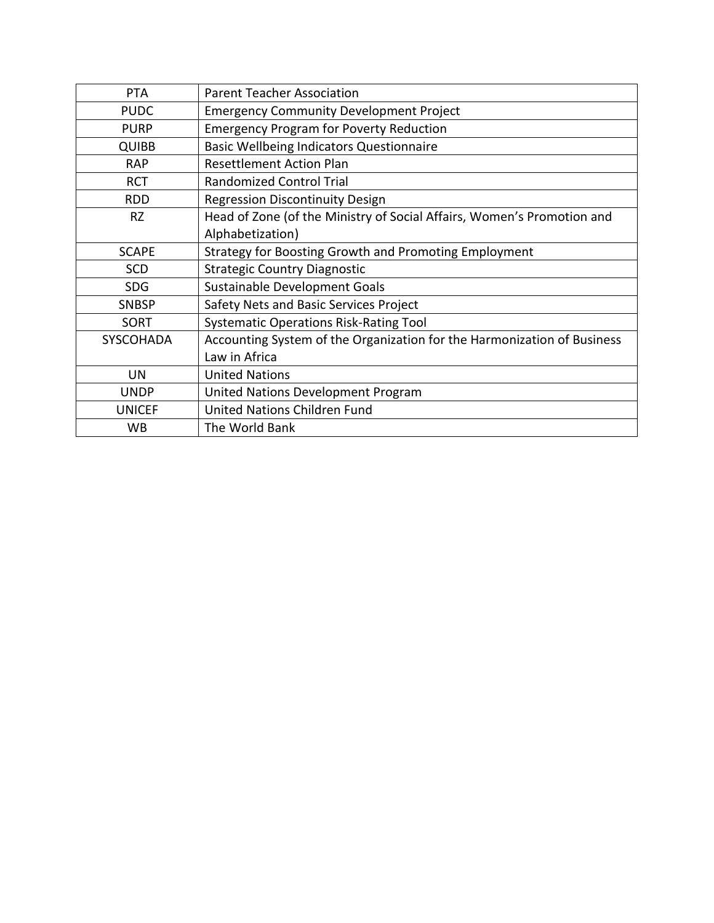| <b>PTA</b>       | <b>Parent Teacher Association</b>                                       |
|------------------|-------------------------------------------------------------------------|
| <b>PUDC</b>      | <b>Emergency Community Development Project</b>                          |
| <b>PURP</b>      | <b>Emergency Program for Poverty Reduction</b>                          |
| <b>QUIBB</b>     | <b>Basic Wellbeing Indicators Questionnaire</b>                         |
| <b>RAP</b>       | <b>Resettlement Action Plan</b>                                         |
| <b>RCT</b>       | <b>Randomized Control Trial</b>                                         |
| <b>RDD</b>       | <b>Regression Discontinuity Design</b>                                  |
| <b>RZ</b>        | Head of Zone (of the Ministry of Social Affairs, Women's Promotion and  |
|                  | Alphabetization)                                                        |
| <b>SCAPE</b>     | Strategy for Boosting Growth and Promoting Employment                   |
| <b>SCD</b>       | <b>Strategic Country Diagnostic</b>                                     |
| <b>SDG</b>       | Sustainable Development Goals                                           |
| <b>SNBSP</b>     | Safety Nets and Basic Services Project                                  |
| <b>SORT</b>      | <b>Systematic Operations Risk-Rating Tool</b>                           |
| <b>SYSCOHADA</b> | Accounting System of the Organization for the Harmonization of Business |
|                  | Law in Africa                                                           |
| UN               | <b>United Nations</b>                                                   |
| <b>UNDP</b>      | United Nations Development Program                                      |
| <b>UNICEF</b>    | United Nations Children Fund                                            |
| WB               | The World Bank                                                          |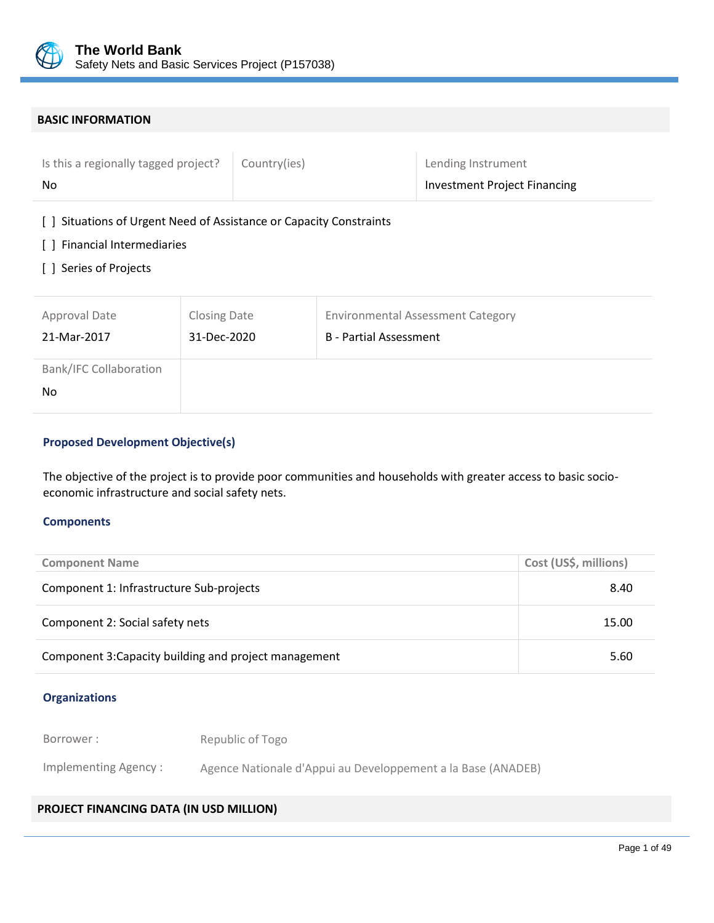

#### **BASIC INFORMATION**

| Is this a regionally tagged project? | Country(ies) | Lending Instrument                  |
|--------------------------------------|--------------|-------------------------------------|
| No                                   |              | <b>Investment Project Financing</b> |

[ ] Situations of Urgent Need of Assistance or Capacity Constraints

- [ ] Financial Intermediaries
- [ ] Series of Projects

| Approval Date                        | <b>Closing Date</b> | <b>Environmental Assessment Category</b> |
|--------------------------------------|---------------------|------------------------------------------|
| 21-Mar-2017                          | 31-Dec-2020         | B - Partial Assessment                   |
| <b>Bank/IFC Collaboration</b><br>No. |                     |                                          |

# **Proposed Development Objective(s)**

The objective of the project is to provide poor communities and households with greater access to basic socioeconomic infrastructure and social safety nets.

#### **Components**

| <b>Component Name</b>                                 | Cost (US\$, millions) |
|-------------------------------------------------------|-----------------------|
| Component 1: Infrastructure Sub-projects              | 8.40                  |
| Component 2: Social safety nets                       | 15.00                 |
| Component 3: Capacity building and project management | 5.60                  |

#### **Organizations**

Borrower : Republic of Togo

Implementing Agency : Agence Nationale d'Appui au Developpement a la Base (ANADEB)

## **PROJECT FINANCING DATA (IN USD MILLION)**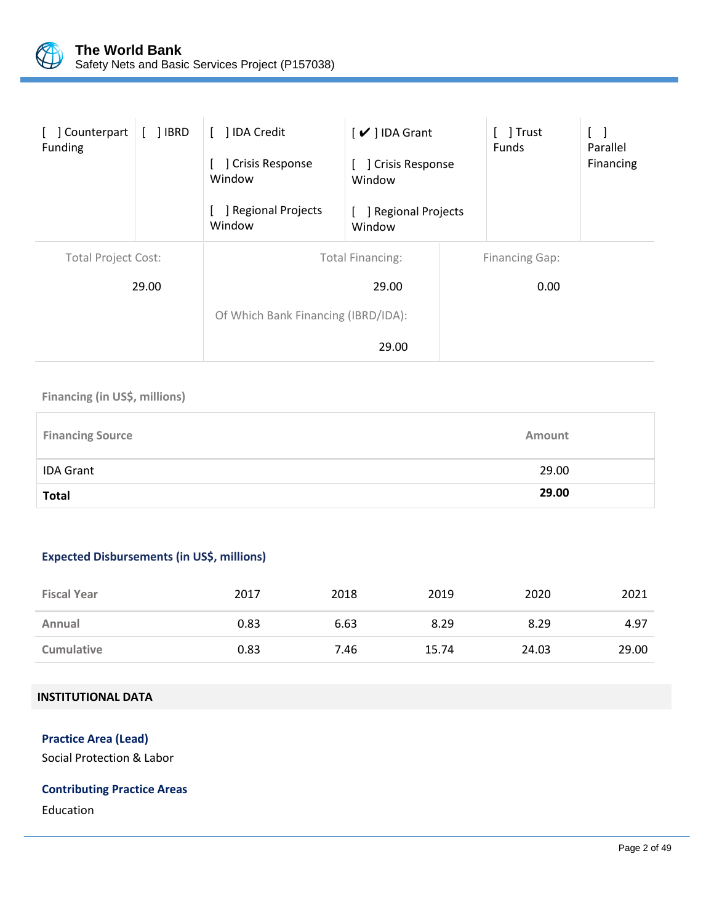

| Counterpart<br>Funding     | ] IBRD | <b>IDA Credit</b><br>Crisis Response<br>Window<br>Regional Projects<br>Window | $\vee$ ] IDA Grant<br>] Crisis Response<br>Window<br>] Regional Projects<br>Window | Trust<br>Funds                | Parallel<br>Financing |
|----------------------------|--------|-------------------------------------------------------------------------------|------------------------------------------------------------------------------------|-------------------------------|-----------------------|
| <b>Total Project Cost:</b> | 29.00  | Of Which Bank Financing (IBRD/IDA):                                           | <b>Total Financing:</b><br>29.00<br>29.00                                          | <b>Financing Gap:</b><br>0.00 |                       |

## **Financing (in US\$, millions)**

| <b>Financing Source</b> | Amount |
|-------------------------|--------|
| <b>IDA Grant</b>        | 29.00  |
| <b>Total</b>            | 29.00  |

# **Expected Disbursements (in US\$, millions)**

| <b>Fiscal Year</b> | 2017 | 2018 | 2019  | 2020  | 2021  |
|--------------------|------|------|-------|-------|-------|
| Annual             | 0.83 | 6.63 | 8.29  | 8.29  | 4.97  |
| <b>Cumulative</b>  | 0.83 | 7.46 | 15.74 | 24.03 | 29.00 |

## **INSTITUTIONAL DATA**

## **Practice Area (Lead)**

Social Protection & Labor

# **Contributing Practice Areas**

Education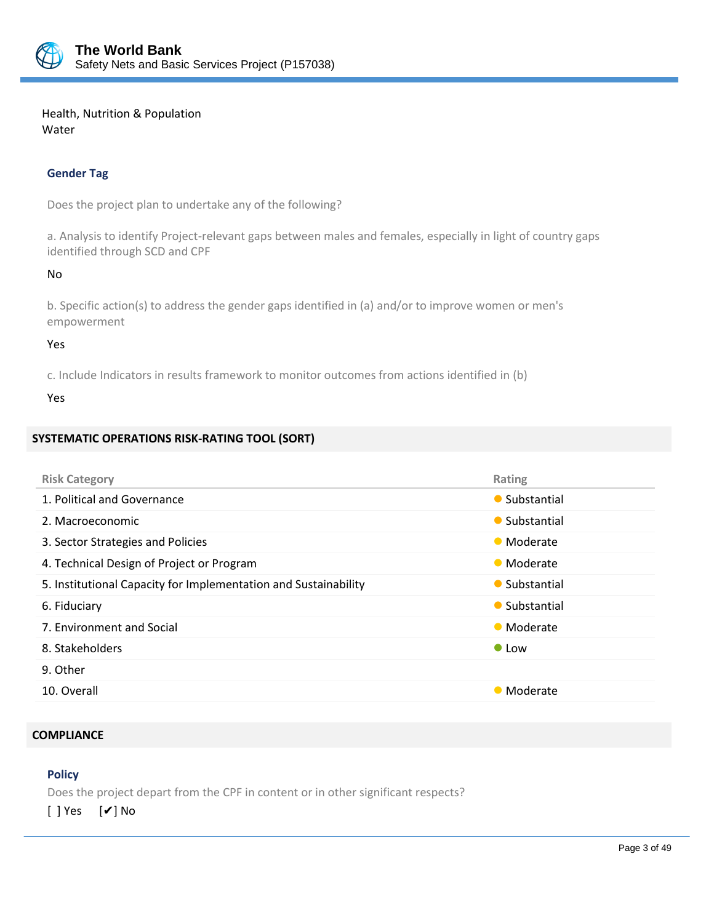

Health, Nutrition & Population Water

# **Gender Tag**

Does the project plan to undertake any of the following?

a. Analysis to identify Project-relevant gaps between males and females, especially in light of country gaps identified through SCD and CPF

No

b. Specific action(s) to address the gender gaps identified in (a) and/or to improve women or men's empowerment

#### Yes

c. Include Indicators in results framework to monitor outcomes from actions identified in (b)

Yes

# **SYSTEMATIC OPERATIONS RISK-RATING TOOL (SORT)**

| <b>Risk Category</b>                                            | Rating        |
|-----------------------------------------------------------------|---------------|
| 1. Political and Governance                                     | • Substantial |
| 2. Macroeconomic                                                | • Substantial |
| 3. Sector Strategies and Policies                               | • Moderate    |
| 4. Technical Design of Project or Program                       | • Moderate    |
| 5. Institutional Capacity for Implementation and Sustainability | • Substantial |
| 6. Fiduciary                                                    | • Substantial |
| 7. Environment and Social                                       | • Moderate    |
| 8. Stakeholders                                                 | $\bullet$ Low |
| 9. Other                                                        |               |
| 10. Overall                                                     | • Moderate    |

#### **COMPLIANCE**

## **Policy**

Does the project depart from the CPF in content or in other significant respects?

[ ] Yes [✔] No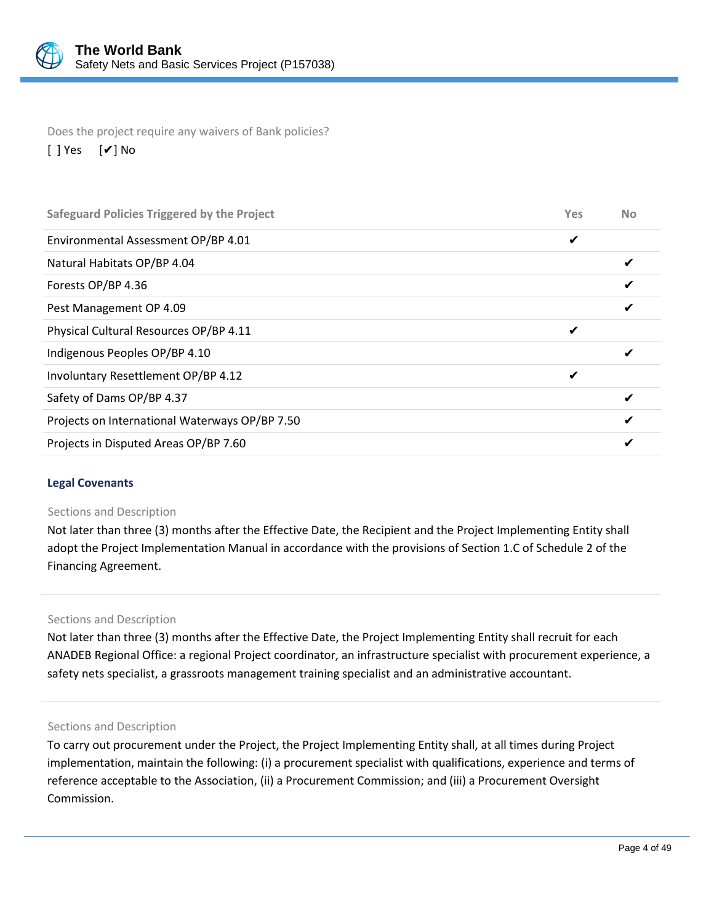

Does the project require any waivers of Bank policies? [ ] Yes [✔] No

| <b>Safeguard Policies Triggered by the Project</b> | Yes | <b>No</b> |
|----------------------------------------------------|-----|-----------|
| Environmental Assessment OP/BP 4.01                | ✔   |           |
| Natural Habitats OP/BP 4.04                        |     |           |
| Forests OP/BP 4.36                                 |     |           |
| Pest Management OP 4.09                            |     |           |
| Physical Cultural Resources OP/BP 4.11             | ✔   |           |
| Indigenous Peoples OP/BP 4.10                      |     |           |
| Involuntary Resettlement OP/BP 4.12                | ✔   |           |
| Safety of Dams OP/BP 4.37                          |     |           |
| Projects on International Waterways OP/BP 7.50     |     |           |
| Projects in Disputed Areas OP/BP 7.60              |     |           |
|                                                    |     |           |

## **Legal Covenants**

#### Sections and Description

Not later than three (3) months after the Effective Date, the Recipient and the Project Implementing Entity shall adopt the Project Implementation Manual in accordance with the provisions of Section 1.C of Schedule 2 of the Financing Agreement.

#### Sections and Description

Not later than three (3) months after the Effective Date, the Project Implementing Entity shall recruit for each ANADEB Regional Office: a regional Project coordinator, an infrastructure specialist with procurement experience, a safety nets specialist, a grassroots management training specialist and an administrative accountant.

#### Sections and Description

To carry out procurement under the Project, the Project Implementing Entity shall, at all times during Project implementation, maintain the following: (i) a procurement specialist with qualifications, experience and terms of reference acceptable to the Association, (ii) a Procurement Commission; and (iii) a Procurement Oversight Commission.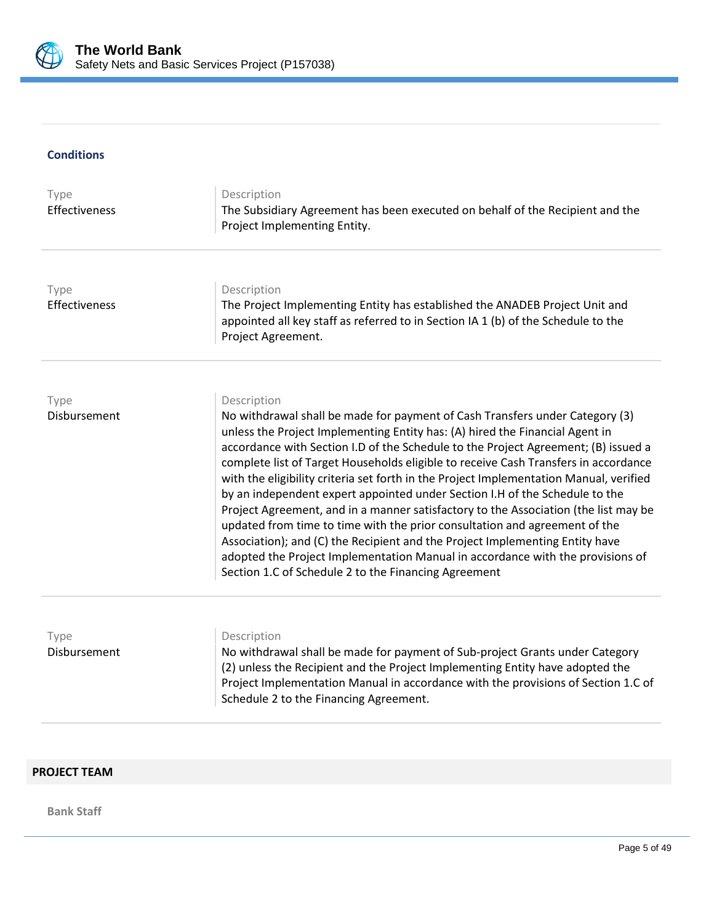

## **Conditions**

| Type<br>Effectiveness | Description<br>The Subsidiary Agreement has been executed on behalf of the Recipient and the<br>Project Implementing Entity.                                                                                                                                                                                                                                                                                                                                                                                                                                                                                                                                                                                                                                                                                                                                                                                      |
|-----------------------|-------------------------------------------------------------------------------------------------------------------------------------------------------------------------------------------------------------------------------------------------------------------------------------------------------------------------------------------------------------------------------------------------------------------------------------------------------------------------------------------------------------------------------------------------------------------------------------------------------------------------------------------------------------------------------------------------------------------------------------------------------------------------------------------------------------------------------------------------------------------------------------------------------------------|
|                       |                                                                                                                                                                                                                                                                                                                                                                                                                                                                                                                                                                                                                                                                                                                                                                                                                                                                                                                   |
| Type                  | Description                                                                                                                                                                                                                                                                                                                                                                                                                                                                                                                                                                                                                                                                                                                                                                                                                                                                                                       |
| Effectiveness         | The Project Implementing Entity has established the ANADEB Project Unit and<br>appointed all key staff as referred to in Section IA 1 (b) of the Schedule to the<br>Project Agreement.                                                                                                                                                                                                                                                                                                                                                                                                                                                                                                                                                                                                                                                                                                                            |
|                       |                                                                                                                                                                                                                                                                                                                                                                                                                                                                                                                                                                                                                                                                                                                                                                                                                                                                                                                   |
| Type                  | Description                                                                                                                                                                                                                                                                                                                                                                                                                                                                                                                                                                                                                                                                                                                                                                                                                                                                                                       |
| Disbursement          | No withdrawal shall be made for payment of Cash Transfers under Category (3)<br>unless the Project Implementing Entity has: (A) hired the Financial Agent in<br>accordance with Section I.D of the Schedule to the Project Agreement; (B) issued a<br>complete list of Target Households eligible to receive Cash Transfers in accordance<br>with the eligibility criteria set forth in the Project Implementation Manual, verified<br>by an independent expert appointed under Section I.H of the Schedule to the<br>Project Agreement, and in a manner satisfactory to the Association (the list may be<br>updated from time to time with the prior consultation and agreement of the<br>Association); and (C) the Recipient and the Project Implementing Entity have<br>adopted the Project Implementation Manual in accordance with the provisions of<br>Section 1.C of Schedule 2 to the Financing Agreement |
|                       |                                                                                                                                                                                                                                                                                                                                                                                                                                                                                                                                                                                                                                                                                                                                                                                                                                                                                                                   |
| Type                  | Description                                                                                                                                                                                                                                                                                                                                                                                                                                                                                                                                                                                                                                                                                                                                                                                                                                                                                                       |
| Disbursement          | No withdrawal shall be made for payment of Sub-project Grants under Category<br>(2) unless the Recipient and the Project Implementing Entity have adopted the<br>Project Implementation Manual in accordance with the provisions of Section 1.C of<br>Schedule 2 to the Financing Agreement.                                                                                                                                                                                                                                                                                                                                                                                                                                                                                                                                                                                                                      |

# **PROJECT TEAM**

**Bank Staff**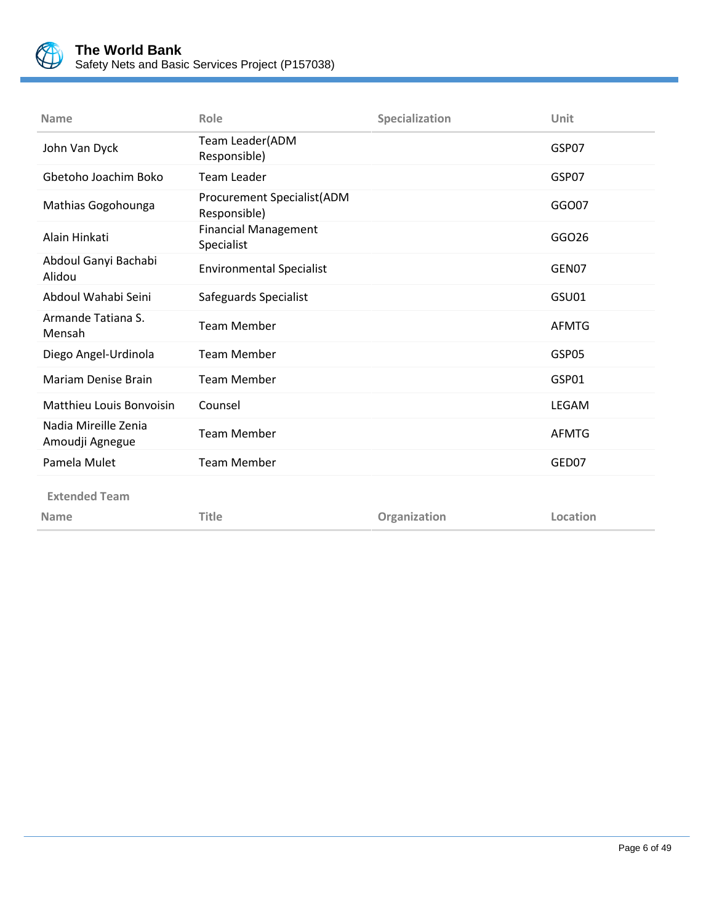

| <b>Name</b>                             | Role                                       | Specialization | Unit         |
|-----------------------------------------|--------------------------------------------|----------------|--------------|
| John Van Dyck                           | Team Leader(ADM<br>Responsible)            |                | GSP07        |
| Gbetoho Joachim Boko                    | <b>Team Leader</b>                         |                | GSP07        |
| Mathias Gogohounga                      | Procurement Specialist(ADM<br>Responsible) |                | GGO07        |
| Alain Hinkati                           | <b>Financial Management</b><br>Specialist  |                | GGO26        |
| Abdoul Ganyi Bachabi<br>Alidou          | <b>Environmental Specialist</b>            |                | GEN07        |
| Abdoul Wahabi Seini                     | Safeguards Specialist                      |                | GSU01        |
| Armande Tatiana S.<br>Mensah            | <b>Team Member</b>                         |                | <b>AFMTG</b> |
| Diego Angel-Urdinola                    | <b>Team Member</b>                         |                | GSP05        |
| Mariam Denise Brain                     | <b>Team Member</b>                         |                | GSP01        |
| <b>Matthieu Louis Bonvoisin</b>         | Counsel                                    |                | <b>LEGAM</b> |
| Nadia Mireille Zenia<br>Amoudji Agnegue | <b>Team Member</b>                         |                | <b>AFMTG</b> |
| Pamela Mulet                            | <b>Team Member</b>                         |                | GED07        |
| <b>Extended Team</b>                    |                                            |                |              |
| <b>Name</b>                             | <b>Title</b>                               | Organization   | Location     |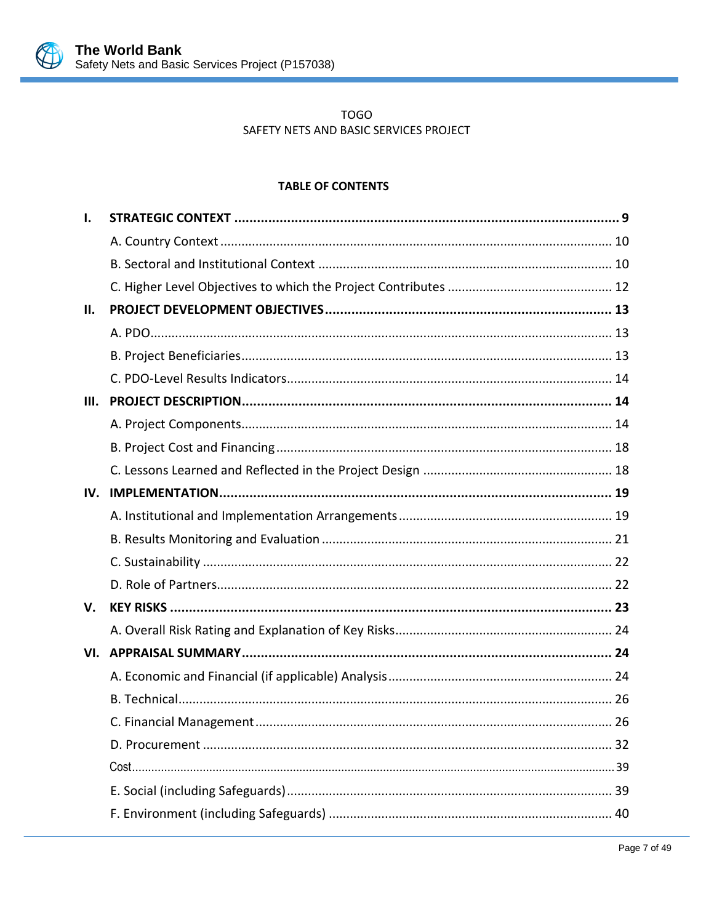

# **TOGO** SAFETY NETS AND BASIC SERVICES PROJECT

# **TABLE OF CONTENTS**

| Ι.   |  |
|------|--|
|      |  |
|      |  |
|      |  |
| П.   |  |
|      |  |
|      |  |
|      |  |
| III. |  |
|      |  |
|      |  |
|      |  |
| IV.  |  |
|      |  |
|      |  |
|      |  |
|      |  |
| V.   |  |
|      |  |
| VI.  |  |
|      |  |
|      |  |
|      |  |
|      |  |
|      |  |
|      |  |
|      |  |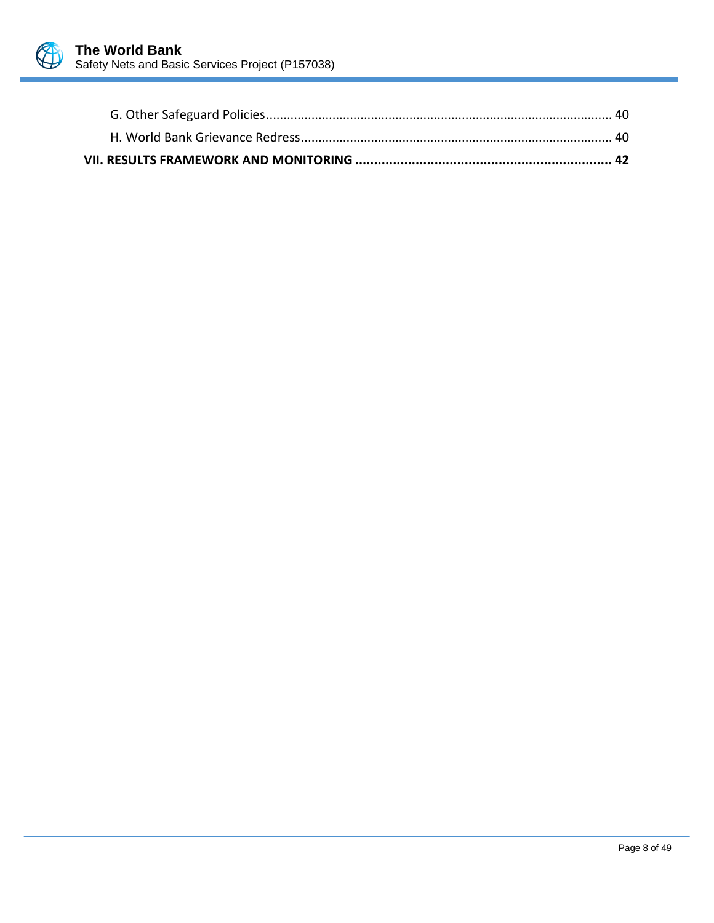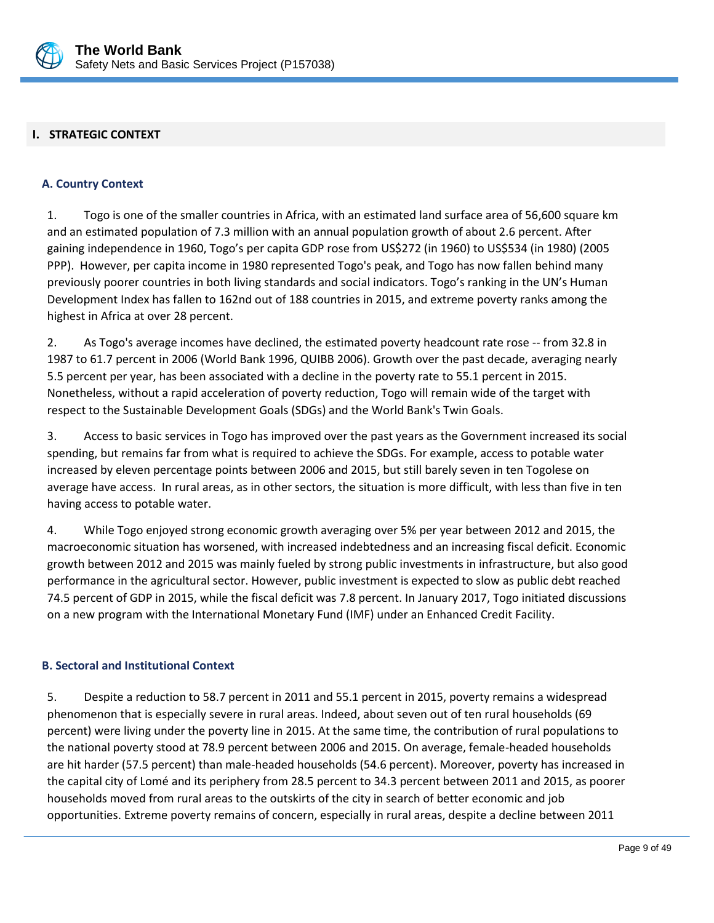

## <span id="page-12-0"></span>**I. STRATEGIC CONTEXT**

#### <span id="page-12-1"></span>**A. Country Context**

1. Togo is one of the smaller countries in Africa, with an estimated land surface area of 56,600 square km and an estimated population of 7.3 million with an annual population growth of about 2.6 percent. After gaining independence in 1960, Togo's per capita GDP rose from US\$272 (in 1960) to US\$534 (in 1980) (2005 PPP). However, per capita income in 1980 represented Togo's peak, and Togo has now fallen behind many previously poorer countries in both living standards and social indicators. Togo's ranking in the UN's Human Development Index has fallen to 162nd out of 188 countries in 2015, and extreme poverty ranks among the highest in Africa at over 28 percent.

2. As Togo's average incomes have declined, the estimated poverty headcount rate rose -- from 32.8 in 1987 to 61.7 percent in 2006 (World Bank 1996, QUIBB 2006). Growth over the past decade, averaging nearly 5.5 percent per year, has been associated with a decline in the poverty rate to 55.1 percent in 2015. Nonetheless, without a rapid acceleration of poverty reduction, Togo will remain wide of the target with respect to the Sustainable Development Goals (SDGs) and the World Bank's Twin Goals.

3. Access to basic services in Togo has improved over the past years as the Government increased its social spending, but remains far from what is required to achieve the SDGs. For example, access to potable water increased by eleven percentage points between 2006 and 2015, but still barely seven in ten Togolese on average have access. In rural areas, as in other sectors, the situation is more difficult, with less than five in ten having access to potable water.

4. While Togo enjoyed strong economic growth averaging over 5% per year between 2012 and 2015, the macroeconomic situation has worsened, with increased indebtedness and an increasing fiscal deficit. Economic growth between 2012 and 2015 was mainly fueled by strong public investments in infrastructure, but also good performance in the agricultural sector. However, public investment is expected to slow as public debt reached 74.5 percent of GDP in 2015, while the fiscal deficit was 7.8 percent. In January 2017, Togo initiated discussions on a new program with the International Monetary Fund (IMF) under an Enhanced Credit Facility.

#### <span id="page-12-2"></span>**B. Sectoral and Institutional Context**

5. Despite a reduction to 58.7 percent in 2011 and 55.1 percent in 2015, poverty remains a widespread phenomenon that is especially severe in rural areas. Indeed, about seven out of ten rural households (69 percent) were living under the poverty line in 2015. At the same time, the contribution of rural populations to the national poverty stood at 78.9 percent between 2006 and 2015. On average, female-headed households are hit harder (57.5 percent) than male-headed households (54.6 percent). Moreover, poverty has increased in the capital city of Lomé and its periphery from 28.5 percent to 34.3 percent between 2011 and 2015, as poorer households moved from rural areas to the outskirts of the city in search of better economic and job opportunities. Extreme poverty remains of concern, especially in rural areas, despite a decline between 2011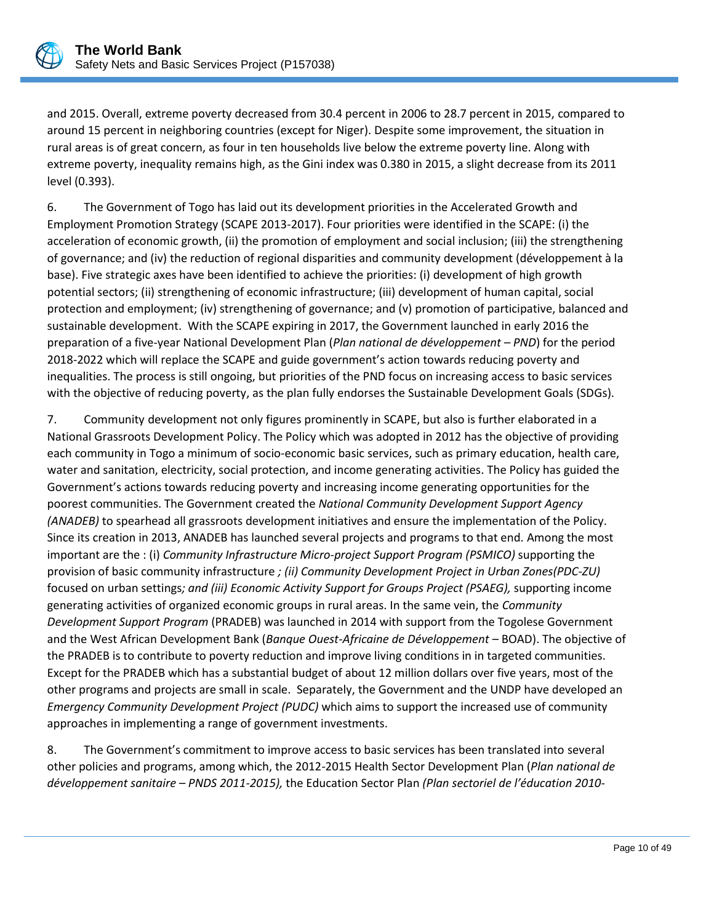

and 2015. Overall, extreme poverty decreased from 30.4 percent in 2006 to 28.7 percent in 2015, compared to around 15 percent in neighboring countries (except for Niger). Despite some improvement, the situation in rural areas is of great concern, as four in ten households live below the extreme poverty line. Along with extreme poverty, inequality remains high, as the Gini index was 0.380 in 2015, a slight decrease from its 2011 level (0.393).

6. The Government of Togo has laid out its development priorities in the Accelerated Growth and Employment Promotion Strategy (SCAPE 2013-2017). Four priorities were identified in the SCAPE: (i) the acceleration of economic growth, (ii) the promotion of employment and social inclusion; (iii) the strengthening of governance; and (iv) the reduction of regional disparities and community development (développement à la base). Five strategic axes have been identified to achieve the priorities: (i) development of high growth potential sectors; (ii) strengthening of economic infrastructure; (iii) development of human capital, social protection and employment; (iv) strengthening of governance; and (v) promotion of participative, balanced and sustainable development. With the SCAPE expiring in 2017, the Government launched in early 2016 the preparation of a five-year National Development Plan (*Plan national de développement – PND*) for the period 2018-2022 which will replace the SCAPE and guide government's action towards reducing poverty and inequalities. The process is still ongoing, but priorities of the PND focus on increasing access to basic services with the objective of reducing poverty, as the plan fully endorses the Sustainable Development Goals (SDGs).

7. Community development not only figures prominently in SCAPE, but also is further elaborated in a National Grassroots Development Policy. The Policy which was adopted in 2012 has the objective of providing each community in Togo a minimum of socio-economic basic services, such as primary education, health care, water and sanitation, electricity, social protection, and income generating activities. The Policy has guided the Government's actions towards reducing poverty and increasing income generating opportunities for the poorest communities. The Government created the *National Community Development Support Agency (ANADEB)* to spearhead all grassroots development initiatives and ensure the implementation of the Policy. Since its creation in 2013, ANADEB has launched several projects and programs to that end. Among the most important are the : (i) *Community Infrastructure Micro-project Support Program (PSMICO)* supporting the provision of basic community infrastructure *; (ii) Community Development Project in Urban Zones(PDC-ZU)* focused on urban settings*; and (iii) Economic Activity Support for Groups Project (PSAEG),* supporting income generating activities of organized economic groups in rural areas. In the same vein, the *Community Development Support Program* (PRADEB) was launched in 2014 with support from the Togolese Government and the West African Development Bank (*Banque Ouest-Africaine de Développement –* BOAD). The objective of the PRADEB is to contribute to poverty reduction and improve living conditions in in targeted communities. Except for the PRADEB which has a substantial budget of about 12 million dollars over five years, most of the other programs and projects are small in scale. Separately, the Government and the UNDP have developed an *Emergency Community Development Project (PUDC)* which aims to support the increased use of community approaches in implementing a range of government investments.

8. The Government's commitment to improve access to basic services has been translated into several other policies and programs, among which, the 2012-2015 Health Sector Development Plan (*Plan national de développement sanitaire – PNDS 2011-2015),* the Education Sector Plan *(Plan sectoriel de l'éducation 2010-*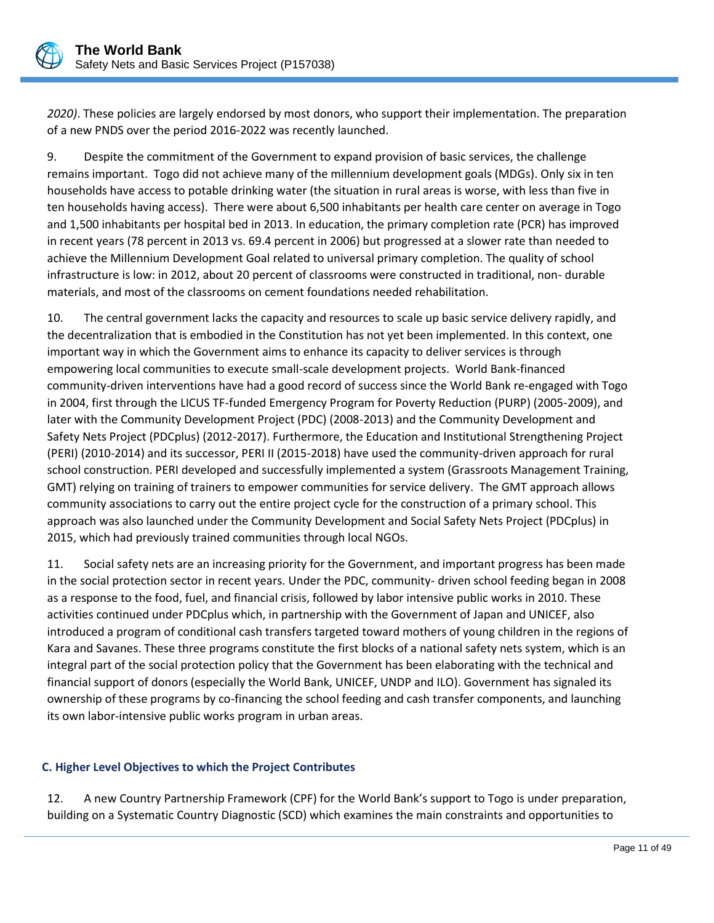

*2020)*. These policies are largely endorsed by most donors, who support their implementation. The preparation of a new PNDS over the period 2016-2022 was recently launched.

9. Despite the commitment of the Government to expand provision of basic services, the challenge remains important. Togo did not achieve many of the millennium development goals (MDGs). Only six in ten households have access to potable drinking water (the situation in rural areas is worse, with less than five in ten households having access). There were about 6,500 inhabitants per health care center on average in Togo and 1,500 inhabitants per hospital bed in 2013. In education, the primary completion rate (PCR) has improved in recent years (78 percent in 2013 vs. 69.4 percent in 2006) but progressed at a slower rate than needed to achieve the Millennium Development Goal related to universal primary completion. The quality of school infrastructure is low: in 2012, about 20 percent of classrooms were constructed in traditional, non- durable materials, and most of the classrooms on cement foundations needed rehabilitation.

10. The central government lacks the capacity and resources to scale up basic service delivery rapidly, and the decentralization that is embodied in the Constitution has not yet been implemented. In this context, one important way in which the Government aims to enhance its capacity to deliver services is through empowering local communities to execute small-scale development projects. World Bank-financed community-driven interventions have had a good record of success since the World Bank re-engaged with Togo in 2004, first through the LICUS TF-funded Emergency Program for Poverty Reduction (PURP) (2005-2009), and later with the Community Development Project (PDC) (2008-2013) and the Community Development and Safety Nets Project (PDCplus) (2012-2017). Furthermore, the Education and Institutional Strengthening Project (PERI) (2010-2014) and its successor, PERI II (2015-2018) have used the community-driven approach for rural school construction. PERI developed and successfully implemented a system (Grassroots Management Training, GMT) relying on training of trainers to empower communities for service delivery. The GMT approach allows community associations to carry out the entire project cycle for the construction of a primary school. This approach was also launched under the Community Development and Social Safety Nets Project (PDCplus) in 2015, which had previously trained communities through local NGOs.

11. Social safety nets are an increasing priority for the Government, and important progress has been made in the social protection sector in recent years. Under the PDC, community- driven school feeding began in 2008 as a response to the food, fuel, and financial crisis, followed by labor intensive public works in 2010. These activities continued under PDCplus which, in partnership with the Government of Japan and UNICEF, also introduced a program of conditional cash transfers targeted toward mothers of young children in the regions of Kara and Savanes. These three programs constitute the first blocks of a national safety nets system, which is an integral part of the social protection policy that the Government has been elaborating with the technical and financial support of donors (especially the World Bank, UNICEF, UNDP and ILO). Government has signaled its ownership of these programs by co-financing the school feeding and cash transfer components, and launching its own labor-intensive public works program in urban areas.

## <span id="page-14-0"></span>**C. Higher Level Objectives to which the Project Contributes**

12. A new Country Partnership Framework (CPF) for the World Bank's support to Togo is under preparation, building on a Systematic Country Diagnostic (SCD) which examines the main constraints and opportunities to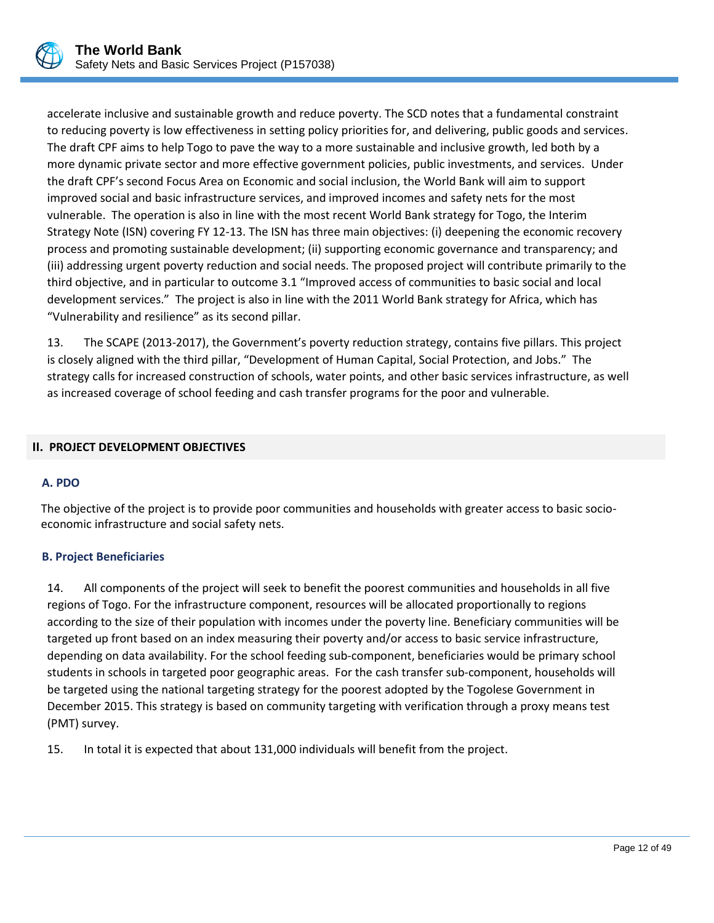

accelerate inclusive and sustainable growth and reduce poverty. The SCD notes that a fundamental constraint to reducing poverty is low effectiveness in setting policy priorities for, and delivering, public goods and services. The draft CPF aims to help Togo to pave the way to a more sustainable and inclusive growth, led both by a more dynamic private sector and more effective government policies, public investments, and services. Under the draft CPF's second Focus Area on Economic and social inclusion, the World Bank will aim to support improved social and basic infrastructure services, and improved incomes and safety nets for the most vulnerable. The operation is also in line with the most recent World Bank strategy for Togo, the Interim Strategy Note (ISN) covering FY 12-13. The ISN has three main objectives: (i) deepening the economic recovery process and promoting sustainable development; (ii) supporting economic governance and transparency; and (iii) addressing urgent poverty reduction and social needs. The proposed project will contribute primarily to the third objective, and in particular to outcome 3.1 "Improved access of communities to basic social and local development services." The project is also in line with the 2011 World Bank strategy for Africa, which has "Vulnerability and resilience" as its second pillar.

13. The SCAPE (2013-2017), the Government's poverty reduction strategy, contains five pillars. This project is closely aligned with the third pillar, "Development of Human Capital, Social Protection, and Jobs." The strategy calls for increased construction of schools, water points, and other basic services infrastructure, as well as increased coverage of school feeding and cash transfer programs for the poor and vulnerable.

## <span id="page-15-0"></span>**II. PROJECT DEVELOPMENT OBJECTIVES**

#### <span id="page-15-1"></span>**A. PDO**

The objective of the project is to provide poor communities and households with greater access to basic socioeconomic infrastructure and social safety nets.

#### <span id="page-15-2"></span>**B. Project Beneficiaries**

14. All components of the project will seek to benefit the poorest communities and households in all five regions of Togo. For the infrastructure component, resources will be allocated proportionally to regions according to the size of their population with incomes under the poverty line. Beneficiary communities will be targeted up front based on an index measuring their poverty and/or access to basic service infrastructure, depending on data availability. For the school feeding sub-component, beneficiaries would be primary school students in schools in targeted poor geographic areas. For the cash transfer sub-component, households will be targeted using the national targeting strategy for the poorest adopted by the Togolese Government in December 2015. This strategy is based on community targeting with verification through a proxy means test (PMT) survey.

15. In total it is expected that about 131,000 individuals will benefit from the project.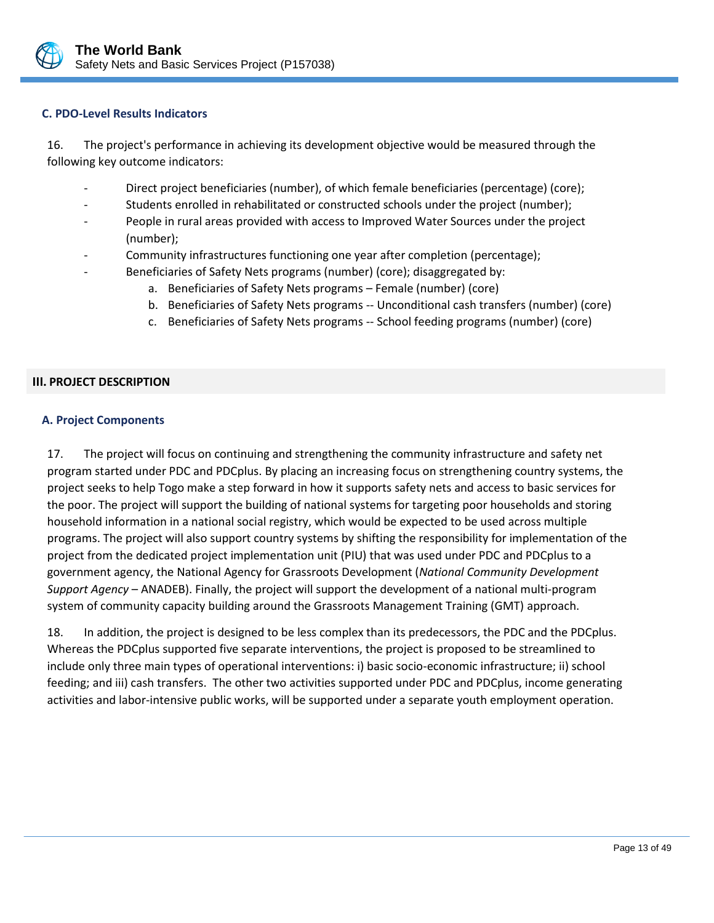

## <span id="page-16-0"></span>**C. PDO-Level Results Indicators**

16. The project's performance in achieving its development objective would be measured through the following key outcome indicators:

- Direct project beneficiaries (number), of which female beneficiaries (percentage) (core);
- Students enrolled in rehabilitated or constructed schools under the project (number);
- People in rural areas provided with access to Improved Water Sources under the project (number);
- Community infrastructures functioning one year after completion (percentage);
- Beneficiaries of Safety Nets programs (number) (core); disaggregated by:
	- a. Beneficiaries of Safety Nets programs Female (number) (core)
	- b. Beneficiaries of Safety Nets programs -- Unconditional cash transfers (number) (core)
	- c. Beneficiaries of Safety Nets programs -- School feeding programs (number) (core)

#### <span id="page-16-1"></span>**III. PROJECT DESCRIPTION**

#### <span id="page-16-2"></span>**A. Project Components**

17. The project will focus on continuing and strengthening the community infrastructure and safety net program started under PDC and PDCplus. By placing an increasing focus on strengthening country systems, the project seeks to help Togo make a step forward in how it supports safety nets and access to basic services for the poor. The project will support the building of national systems for targeting poor households and storing household information in a national social registry, which would be expected to be used across multiple programs. The project will also support country systems by shifting the responsibility for implementation of the project from the dedicated project implementation unit (PIU) that was used under PDC and PDCplus to a government agency, the National Agency for Grassroots Development (*National Community Development Support Agency* – ANADEB). Finally, the project will support the development of a national multi-program system of community capacity building around the Grassroots Management Training (GMT) approach.

18. In addition, the project is designed to be less complex than its predecessors, the PDC and the PDCplus. Whereas the PDCplus supported five separate interventions, the project is proposed to be streamlined to include only three main types of operational interventions: i) basic socio-economic infrastructure; ii) school feeding; and iii) cash transfers. The other two activities supported under PDC and PDCplus, income generating activities and labor-intensive public works, will be supported under a separate youth employment operation.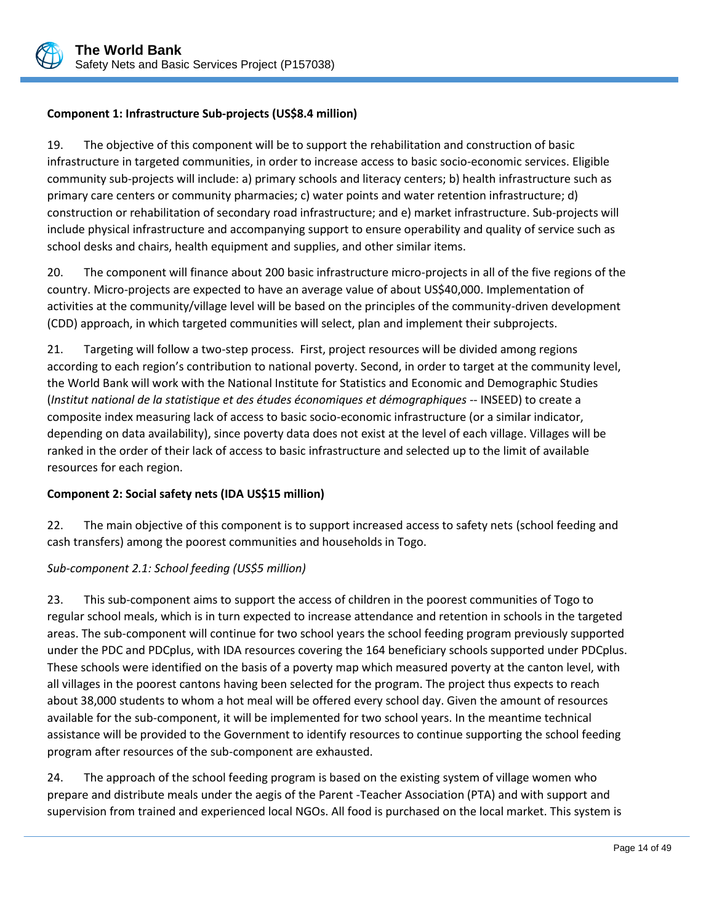

# **Component 1: Infrastructure Sub-projects (US\$8.4 million)**

19. The objective of this component will be to support the rehabilitation and construction of basic infrastructure in targeted communities, in order to increase access to basic socio-economic services. Eligible community sub-projects will include: a) primary schools and literacy centers; b) health infrastructure such as primary care centers or community pharmacies; c) water points and water retention infrastructure; d) construction or rehabilitation of secondary road infrastructure; and e) market infrastructure. Sub-projects will include physical infrastructure and accompanying support to ensure operability and quality of service such as school desks and chairs, health equipment and supplies, and other similar items.

20. The component will finance about 200 basic infrastructure micro-projects in all of the five regions of the country. Micro-projects are expected to have an average value of about US\$40,000. Implementation of activities at the community/village level will be based on the principles of the community-driven development (CDD) approach, in which targeted communities will select, plan and implement their subprojects.

21. Targeting will follow a two-step process. First, project resources will be divided among regions according to each region's contribution to national poverty. Second, in order to target at the community level, the World Bank will work with the National Institute for Statistics and Economic and Demographic Studies (*Institut national de la statistique et des études économiques et démographiques* -- INSEED) to create a composite index measuring lack of access to basic socio-economic infrastructure (or a similar indicator, depending on data availability), since poverty data does not exist at the level of each village. Villages will be ranked in the order of their lack of access to basic infrastructure and selected up to the limit of available resources for each region.

## **Component 2: Social safety nets (IDA US\$15 million)**

22. The main objective of this component is to support increased access to safety nets (school feeding and cash transfers) among the poorest communities and households in Togo.

## *Sub-component 2.1: School feeding (US\$5 million)*

23. This sub-component aims to support the access of children in the poorest communities of Togo to regular school meals, which is in turn expected to increase attendance and retention in schools in the targeted areas. The sub-component will continue for two school years the school feeding program previously supported under the PDC and PDCplus, with IDA resources covering the 164 beneficiary schools supported under PDCplus. These schools were identified on the basis of a poverty map which measured poverty at the canton level, with all villages in the poorest cantons having been selected for the program. The project thus expects to reach about 38,000 students to whom a hot meal will be offered every school day. Given the amount of resources available for the sub-component, it will be implemented for two school years. In the meantime technical assistance will be provided to the Government to identify resources to continue supporting the school feeding program after resources of the sub-component are exhausted.

24. The approach of the school feeding program is based on the existing system of village women who prepare and distribute meals under the aegis of the Parent -Teacher Association (PTA) and with support and supervision from trained and experienced local NGOs. All food is purchased on the local market. This system is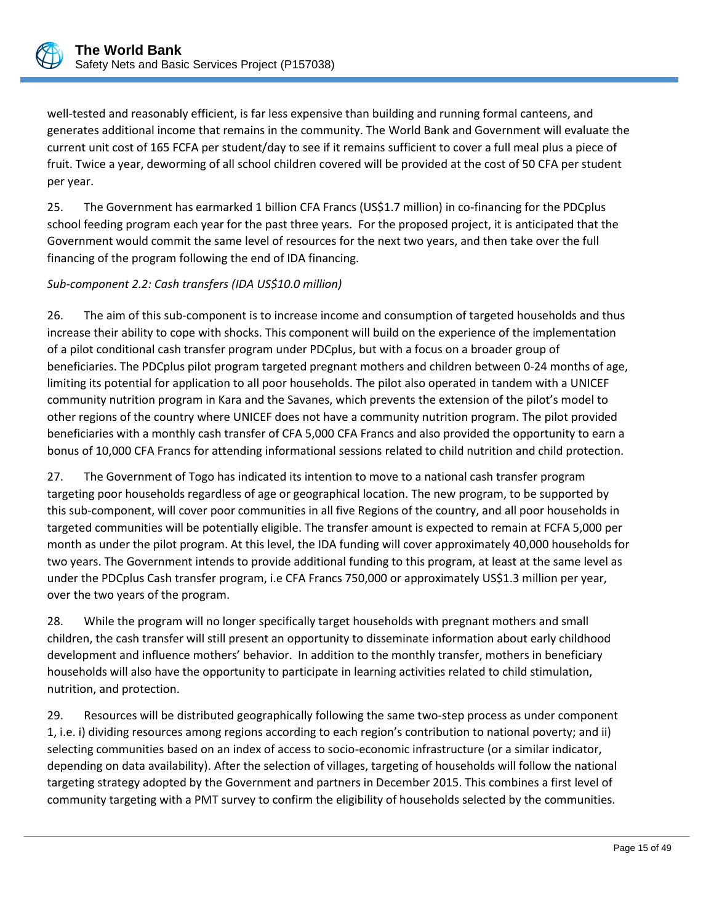

well-tested and reasonably efficient, is far less expensive than building and running formal canteens, and generates additional income that remains in the community. The World Bank and Government will evaluate the current unit cost of 165 FCFA per student/day to see if it remains sufficient to cover a full meal plus a piece of fruit. Twice a year, deworming of all school children covered will be provided at the cost of 50 CFA per student per year.

25. The Government has earmarked 1 billion CFA Francs (US\$1.7 million) in co-financing for the PDCplus school feeding program each year for the past three years. For the proposed project, it is anticipated that the Government would commit the same level of resources for the next two years, and then take over the full financing of the program following the end of IDA financing.

# *Sub-component 2.2: Cash transfers (IDA US\$10.0 million)*

26. The aim of this sub-component is to increase income and consumption of targeted households and thus increase their ability to cope with shocks. This component will build on the experience of the implementation of a pilot conditional cash transfer program under PDCplus, but with a focus on a broader group of beneficiaries. The PDCplus pilot program targeted pregnant mothers and children between 0-24 months of age, limiting its potential for application to all poor households. The pilot also operated in tandem with a UNICEF community nutrition program in Kara and the Savanes, which prevents the extension of the pilot's model to other regions of the country where UNICEF does not have a community nutrition program. The pilot provided beneficiaries with a monthly cash transfer of CFA 5,000 CFA Francs and also provided the opportunity to earn a bonus of 10,000 CFA Francs for attending informational sessions related to child nutrition and child protection.

27. The Government of Togo has indicated its intention to move to a national cash transfer program targeting poor households regardless of age or geographical location. The new program, to be supported by this sub-component, will cover poor communities in all five Regions of the country, and all poor households in targeted communities will be potentially eligible. The transfer amount is expected to remain at FCFA 5,000 per month as under the pilot program. At this level, the IDA funding will cover approximately 40,000 households for two years. The Government intends to provide additional funding to this program, at least at the same level as under the PDCplus Cash transfer program, i.e CFA Francs 750,000 or approximately US\$1.3 million per year, over the two years of the program.

28. While the program will no longer specifically target households with pregnant mothers and small children, the cash transfer will still present an opportunity to disseminate information about early childhood development and influence mothers' behavior. In addition to the monthly transfer, mothers in beneficiary households will also have the opportunity to participate in learning activities related to child stimulation, nutrition, and protection.

29. Resources will be distributed geographically following the same two-step process as under component 1, i.e. i) dividing resources among regions according to each region's contribution to national poverty; and ii) selecting communities based on an index of access to socio-economic infrastructure (or a similar indicator, depending on data availability). After the selection of villages, targeting of households will follow the national targeting strategy adopted by the Government and partners in December 2015. This combines a first level of community targeting with a PMT survey to confirm the eligibility of households selected by the communities.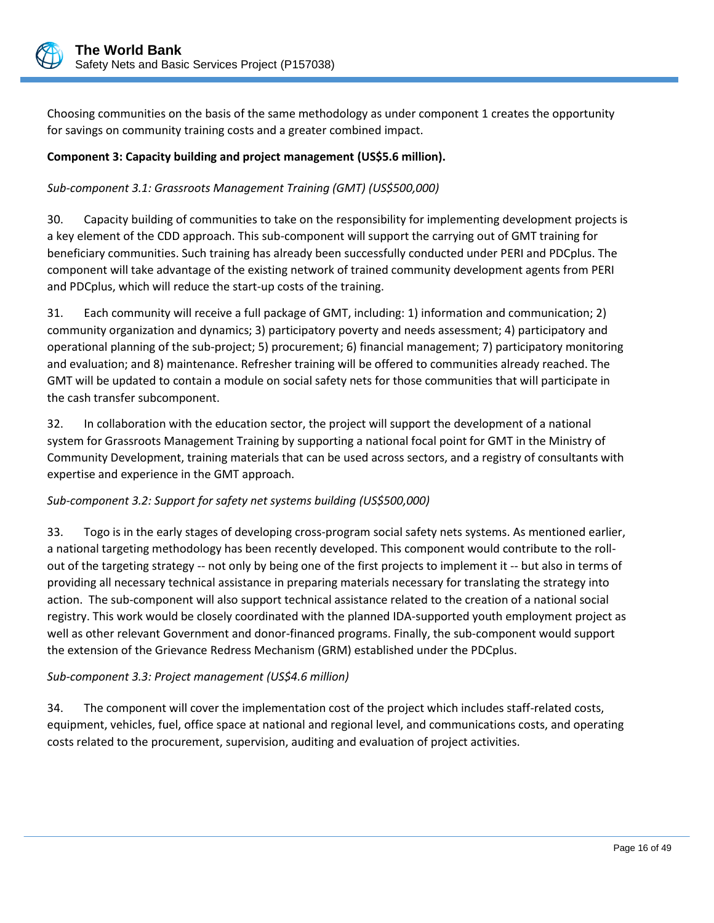

Choosing communities on the basis of the same methodology as under component 1 creates the opportunity for savings on community training costs and a greater combined impact.

## **Component 3: Capacity building and project management (US\$5.6 million).**

# *Sub-component 3.1: Grassroots Management Training (GMT) (US\$500,000)*

30. Capacity building of communities to take on the responsibility for implementing development projects is a key element of the CDD approach. This sub-component will support the carrying out of GMT training for beneficiary communities. Such training has already been successfully conducted under PERI and PDCplus. The component will take advantage of the existing network of trained community development agents from PERI and PDCplus, which will reduce the start-up costs of the training.

31. Each community will receive a full package of GMT, including: 1) information and communication; 2) community organization and dynamics; 3) participatory poverty and needs assessment; 4) participatory and operational planning of the sub-project; 5) procurement; 6) financial management; 7) participatory monitoring and evaluation; and 8) maintenance. Refresher training will be offered to communities already reached. The GMT will be updated to contain a module on social safety nets for those communities that will participate in the cash transfer subcomponent.

32. In collaboration with the education sector, the project will support the development of a national system for Grassroots Management Training by supporting a national focal point for GMT in the Ministry of Community Development, training materials that can be used across sectors, and a registry of consultants with expertise and experience in the GMT approach.

## *Sub-component 3.2: Support for safety net systems building (US\$500,000)*

33. Togo is in the early stages of developing cross-program social safety nets systems. As mentioned earlier, a national targeting methodology has been recently developed. This component would contribute to the rollout of the targeting strategy -- not only by being one of the first projects to implement it -- but also in terms of providing all necessary technical assistance in preparing materials necessary for translating the strategy into action. The sub-component will also support technical assistance related to the creation of a national social registry. This work would be closely coordinated with the planned IDA-supported youth employment project as well as other relevant Government and donor-financed programs. Finally, the sub-component would support the extension of the Grievance Redress Mechanism (GRM) established under the PDCplus.

## *Sub-component 3.3: Project management (US\$4.6 million)*

34. The component will cover the implementation cost of the project which includes staff-related costs, equipment, vehicles, fuel, office space at national and regional level, and communications costs, and operating costs related to the procurement, supervision, auditing and evaluation of project activities.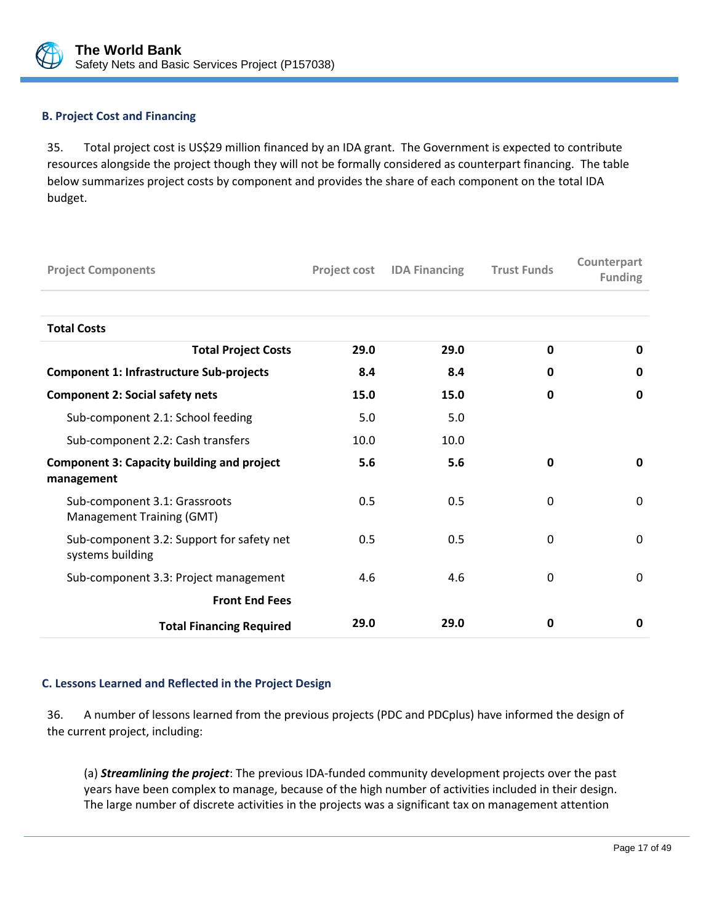

## <span id="page-20-0"></span>**B. Project Cost and Financing**

35. Total project cost is US\$29 million financed by an IDA grant. The Government is expected to contribute resources alongside the project though they will not be formally considered as counterpart financing. The table below summarizes project costs by component and provides the share of each component on the total IDA budget.

| <b>Project Components</b>                                       |      | <b>Project cost IDA Financing</b> | <b>Trust Funds</b> | Counterpart<br><b>Funding</b> |
|-----------------------------------------------------------------|------|-----------------------------------|--------------------|-------------------------------|
|                                                                 |      |                                   |                    |                               |
| <b>Total Costs</b>                                              |      |                                   |                    |                               |
| <b>Total Project Costs</b>                                      | 29.0 | 29.0                              | $\mathbf 0$        | $\mathbf{0}$                  |
| <b>Component 1: Infrastructure Sub-projects</b>                 | 8.4  | 8.4                               | 0                  | 0                             |
| <b>Component 2: Social safety nets</b>                          | 15.0 | 15.0                              | 0                  | 0                             |
| Sub-component 2.1: School feeding                               | 5.0  | 5.0                               |                    |                               |
| Sub-component 2.2: Cash transfers                               | 10.0 | 10.0                              |                    |                               |
| <b>Component 3: Capacity building and project</b><br>management | 5.6  | 5.6                               | 0                  | $\mathbf 0$                   |
| Sub-component 3.1: Grassroots<br>Management Training (GMT)      | 0.5  | 0.5                               | 0                  | $\mathbf 0$                   |
| Sub-component 3.2: Support for safety net<br>systems building   | 0.5  | 0.5                               | 0                  | $\mathbf 0$                   |
| Sub-component 3.3: Project management                           | 4.6  | 4.6                               | 0                  | $\mathbf{0}$                  |
| <b>Front End Fees</b>                                           |      |                                   |                    |                               |
| <b>Total Financing Required</b>                                 | 29.0 | 29.0                              | 0                  | 0                             |

## <span id="page-20-1"></span>**C. Lessons Learned and Reflected in the Project Design**

36. A number of lessons learned from the previous projects (PDC and PDCplus) have informed the design of the current project, including:

(a) *Streamlining the project*: The previous IDA-funded community development projects over the past years have been complex to manage, because of the high number of activities included in their design. The large number of discrete activities in the projects was a significant tax on management attention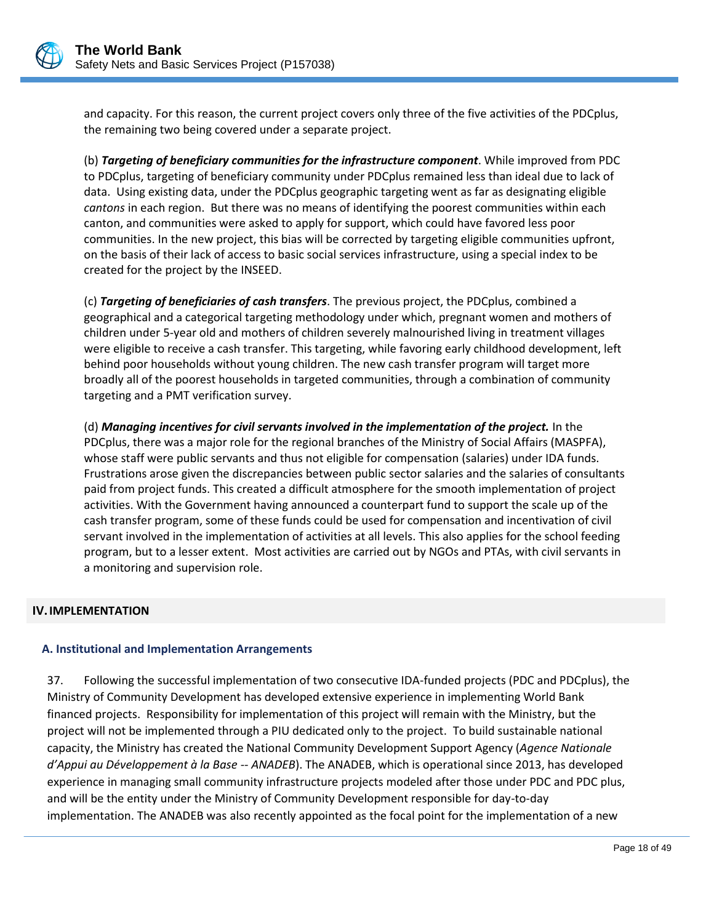

and capacity. For this reason, the current project covers only three of the five activities of the PDCplus, the remaining two being covered under a separate project.

(b) *Targeting of beneficiary communities for the infrastructure component*. While improved from PDC to PDCplus, targeting of beneficiary community under PDCplus remained less than ideal due to lack of data. Using existing data, under the PDCplus geographic targeting went as far as designating eligible *cantons* in each region. But there was no means of identifying the poorest communities within each canton, and communities were asked to apply for support, which could have favored less poor communities. In the new project, this bias will be corrected by targeting eligible communities upfront, on the basis of their lack of access to basic social services infrastructure, using a special index to be created for the project by the INSEED.

(c) *Targeting of beneficiaries of cash transfers*. The previous project, the PDCplus, combined a geographical and a categorical targeting methodology under which, pregnant women and mothers of children under 5-year old and mothers of children severely malnourished living in treatment villages were eligible to receive a cash transfer. This targeting, while favoring early childhood development, left behind poor households without young children. The new cash transfer program will target more broadly all of the poorest households in targeted communities, through a combination of community targeting and a PMT verification survey.

(d) *Managing incentives for civil servants involved in the implementation of the project.* In the PDCplus, there was a major role for the regional branches of the Ministry of Social Affairs (MASPFA), whose staff were public servants and thus not eligible for compensation (salaries) under IDA funds. Frustrations arose given the discrepancies between public sector salaries and the salaries of consultants paid from project funds. This created a difficult atmosphere for the smooth implementation of project activities. With the Government having announced a counterpart fund to support the scale up of the cash transfer program, some of these funds could be used for compensation and incentivation of civil servant involved in the implementation of activities at all levels. This also applies for the school feeding program, but to a lesser extent. Most activities are carried out by NGOs and PTAs, with civil servants in a monitoring and supervision role.

## <span id="page-21-0"></span>**IV.IMPLEMENTATION**

## <span id="page-21-1"></span>**A. Institutional and Implementation Arrangements**

37. Following the successful implementation of two consecutive IDA-funded projects (PDC and PDCplus), the Ministry of Community Development has developed extensive experience in implementing World Bank financed projects. Responsibility for implementation of this project will remain with the Ministry, but the project will not be implemented through a PIU dedicated only to the project. To build sustainable national capacity, the Ministry has created the National Community Development Support Agency (*Agence Nationale d'Appui au Développement à la Base -- ANADEB*). The ANADEB, which is operational since 2013, has developed experience in managing small community infrastructure projects modeled after those under PDC and PDC plus, and will be the entity under the Ministry of Community Development responsible for day-to-day implementation. The ANADEB was also recently appointed as the focal point for the implementation of a new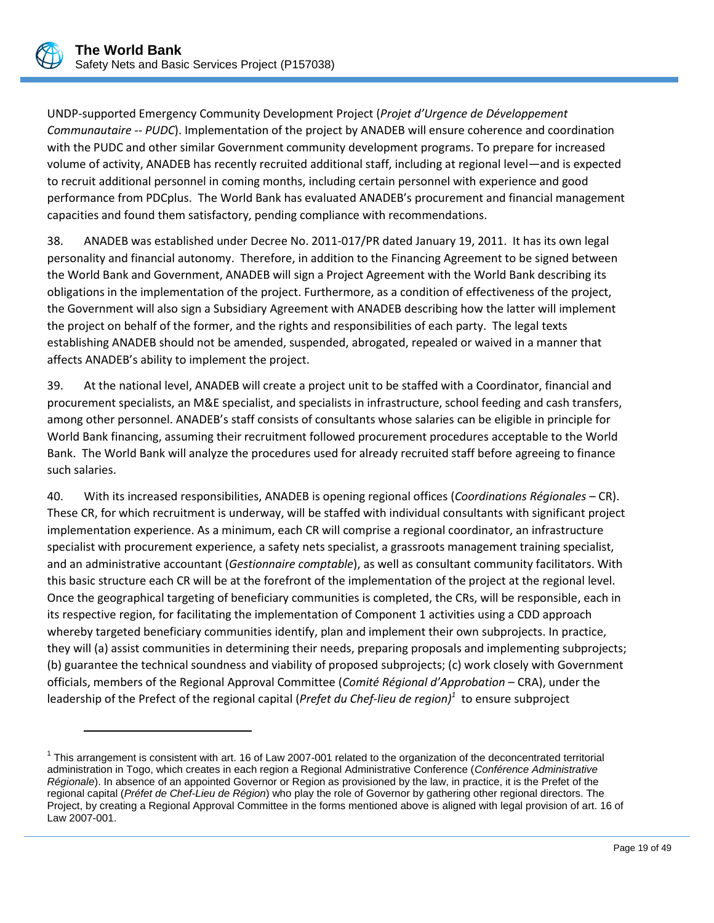

 $\overline{a}$ 

UNDP-supported Emergency Community Development Project (*Projet d'Urgence de Développement Communautaire -- PUDC*). Implementation of the project by ANADEB will ensure coherence and coordination with the PUDC and other similar Government community development programs. To prepare for increased volume of activity, ANADEB has recently recruited additional staff, including at regional level—and is expected to recruit additional personnel in coming months, including certain personnel with experience and good performance from PDCplus. The World Bank has evaluated ANADEB's procurement and financial management capacities and found them satisfactory, pending compliance with recommendations.

38. ANADEB was established under Decree No. 2011-017/PR dated January 19, 2011. It has its own legal personality and financial autonomy. Therefore, in addition to the Financing Agreement to be signed between the World Bank and Government, ANADEB will sign a Project Agreement with the World Bank describing its obligations in the implementation of the project. Furthermore, as a condition of effectiveness of the project, the Government will also sign a Subsidiary Agreement with ANADEB describing how the latter will implement the project on behalf of the former, and the rights and responsibilities of each party. The legal texts establishing ANADEB should not be amended, suspended, abrogated, repealed or waived in a manner that affects ANADEB's ability to implement the project.

39. At the national level, ANADEB will create a project unit to be staffed with a Coordinator, financial and procurement specialists, an M&E specialist, and specialists in infrastructure, school feeding and cash transfers, among other personnel. ANADEB's staff consists of consultants whose salaries can be eligible in principle for World Bank financing, assuming their recruitment followed procurement procedures acceptable to the World Bank. The World Bank will analyze the procedures used for already recruited staff before agreeing to finance such salaries.

40. With its increased responsibilities, ANADEB is opening regional offices (*Coordinations Régionales* – CR). These CR, for which recruitment is underway, will be staffed with individual consultants with significant project implementation experience. As a minimum, each CR will comprise a regional coordinator, an infrastructure specialist with procurement experience, a safety nets specialist, a grassroots management training specialist, and an administrative accountant (*Gestionnaire comptable*), as well as consultant community facilitators. With this basic structure each CR will be at the forefront of the implementation of the project at the regional level. Once the geographical targeting of beneficiary communities is completed, the CRs, will be responsible, each in its respective region, for facilitating the implementation of Component 1 activities using a CDD approach whereby targeted beneficiary communities identify, plan and implement their own subprojects. In practice, they will (a) assist communities in determining their needs, preparing proposals and implementing subprojects; (b) guarantee the technical soundness and viability of proposed subprojects; (c) work closely with Government officials, members of the Regional Approval Committee (*Comité Régional d'Approbation* – CRA), under the leadership of the Prefect of the regional capital (*Prefet du Chef-lieu de region) 1* to ensure subproject

 $1$  This arrangement is consistent with art. 16 of Law 2007-001 related to the organization of the deconcentrated territorial administration in Togo, which creates in each region a Regional Administrative Conference (*Conférence Administrative Régionale*). In absence of an appointed Governor or Region as provisioned by the law, in practice, it is the Prefet of the regional capital (*Préfet de Chef-Lieu de Région*) who play the role of Governor by gathering other regional directors. The Project, by creating a Regional Approval Committee in the forms mentioned above is aligned with legal provision of art. 16 of Law 2007-001.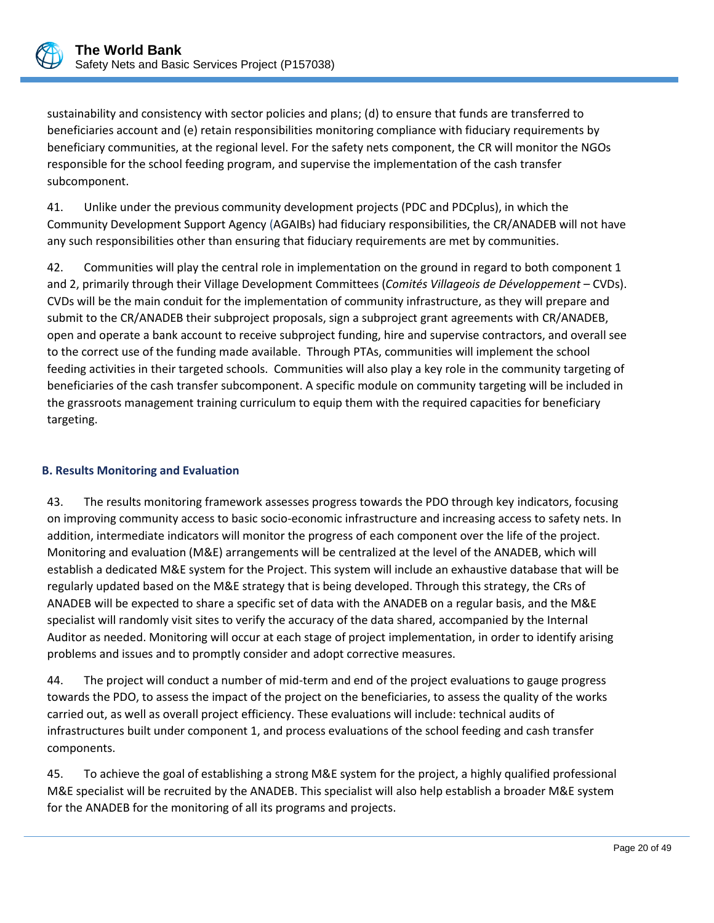

sustainability and consistency with sector policies and plans; (d) to ensure that funds are transferred to beneficiaries account and (e) retain responsibilities monitoring compliance with fiduciary requirements by beneficiary communities, at the regional level. For the safety nets component, the CR will monitor the NGOs responsible for the school feeding program, and supervise the implementation of the cash transfer subcomponent.

41. Unlike under the previous community development projects (PDC and PDCplus), in which the Community Development Support Agency (AGAIBs) had fiduciary responsibilities, the CR/ANADEB will not have any such responsibilities other than ensuring that fiduciary requirements are met by communities.

42. Communities will play the central role in implementation on the ground in regard to both component 1 and 2, primarily through their Village Development Committees (*Comités Villageois de Développement* – CVDs). CVDs will be the main conduit for the implementation of community infrastructure, as they will prepare and submit to the CR/ANADEB their subproject proposals, sign a subproject grant agreements with CR/ANADEB, open and operate a bank account to receive subproject funding, hire and supervise contractors, and overall see to the correct use of the funding made available. Through PTAs, communities will implement the school feeding activities in their targeted schools. Communities will also play a key role in the community targeting of beneficiaries of the cash transfer subcomponent. A specific module on community targeting will be included in the grassroots management training curriculum to equip them with the required capacities for beneficiary targeting.

# <span id="page-23-0"></span>**B. Results Monitoring and Evaluation**

43. The results monitoring framework assesses progress towards the PDO through key indicators, focusing on improving community access to basic socio-economic infrastructure and increasing access to safety nets. In addition, intermediate indicators will monitor the progress of each component over the life of the project. Monitoring and evaluation (M&E) arrangements will be centralized at the level of the ANADEB, which will establish a dedicated M&E system for the Project. This system will include an exhaustive database that will be regularly updated based on the M&E strategy that is being developed. Through this strategy, the CRs of ANADEB will be expected to share a specific set of data with the ANADEB on a regular basis, and the M&E specialist will randomly visit sites to verify the accuracy of the data shared, accompanied by the Internal Auditor as needed. Monitoring will occur at each stage of project implementation, in order to identify arising problems and issues and to promptly consider and adopt corrective measures.

44. The project will conduct a number of mid-term and end of the project evaluations to gauge progress towards the PDO, to assess the impact of the project on the beneficiaries, to assess the quality of the works carried out, as well as overall project efficiency. These evaluations will include: technical audits of infrastructures built under component 1, and process evaluations of the school feeding and cash transfer components.

45. To achieve the goal of establishing a strong M&E system for the project, a highly qualified professional M&E specialist will be recruited by the ANADEB. This specialist will also help establish a broader M&E system for the ANADEB for the monitoring of all its programs and projects.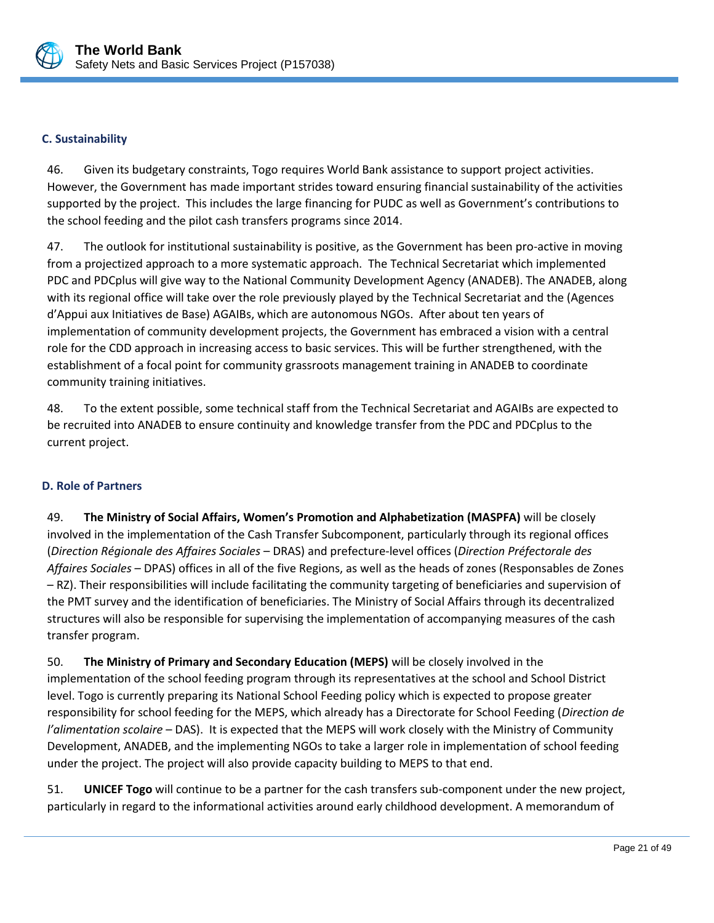

#### <span id="page-24-0"></span>**C. Sustainability**

46. Given its budgetary constraints, Togo requires World Bank assistance to support project activities. However, the Government has made important strides toward ensuring financial sustainability of the activities supported by the project. This includes the large financing for PUDC as well as Government's contributions to the school feeding and the pilot cash transfers programs since 2014.

47. The outlook for institutional sustainability is positive, as the Government has been pro-active in moving from a projectized approach to a more systematic approach. The Technical Secretariat which implemented PDC and PDCplus will give way to the National Community Development Agency (ANADEB). The ANADEB, along with its regional office will take over the role previously played by the Technical Secretariat and the (Agences d'Appui aux Initiatives de Base) AGAIBs, which are autonomous NGOs. After about ten years of implementation of community development projects, the Government has embraced a vision with a central role for the CDD approach in increasing access to basic services. This will be further strengthened, with the establishment of a focal point for community grassroots management training in ANADEB to coordinate community training initiatives.

48. To the extent possible, some technical staff from the Technical Secretariat and AGAIBs are expected to be recruited into ANADEB to ensure continuity and knowledge transfer from the PDC and PDCplus to the current project.

## <span id="page-24-1"></span>**D. Role of Partners**

49. **The Ministry of Social Affairs, Women's Promotion and Alphabetization (MASPFA)** will be closely involved in the implementation of the Cash Transfer Subcomponent, particularly through its regional offices (*Direction Régionale des Affaires Sociales* – DRAS) and prefecture-level offices (*Direction Préfectorale des Affaires Sociales* – DPAS) offices in all of the five Regions, as well as the heads of zones (Responsables de Zones – RZ). Their responsibilities will include facilitating the community targeting of beneficiaries and supervision of the PMT survey and the identification of beneficiaries. The Ministry of Social Affairs through its decentralized structures will also be responsible for supervising the implementation of accompanying measures of the cash transfer program.

50. **The Ministry of Primary and Secondary Education (MEPS)** will be closely involved in the implementation of the school feeding program through its representatives at the school and School District level. Togo is currently preparing its National School Feeding policy which is expected to propose greater responsibility for school feeding for the MEPS, which already has a Directorate for School Feeding (*Direction de l'alimentation scolaire* – DAS). It is expected that the MEPS will work closely with the Ministry of Community Development, ANADEB, and the implementing NGOs to take a larger role in implementation of school feeding under the project. The project will also provide capacity building to MEPS to that end.

51. **UNICEF Togo** will continue to be a partner for the cash transfers sub-component under the new project, particularly in regard to the informational activities around early childhood development. A memorandum of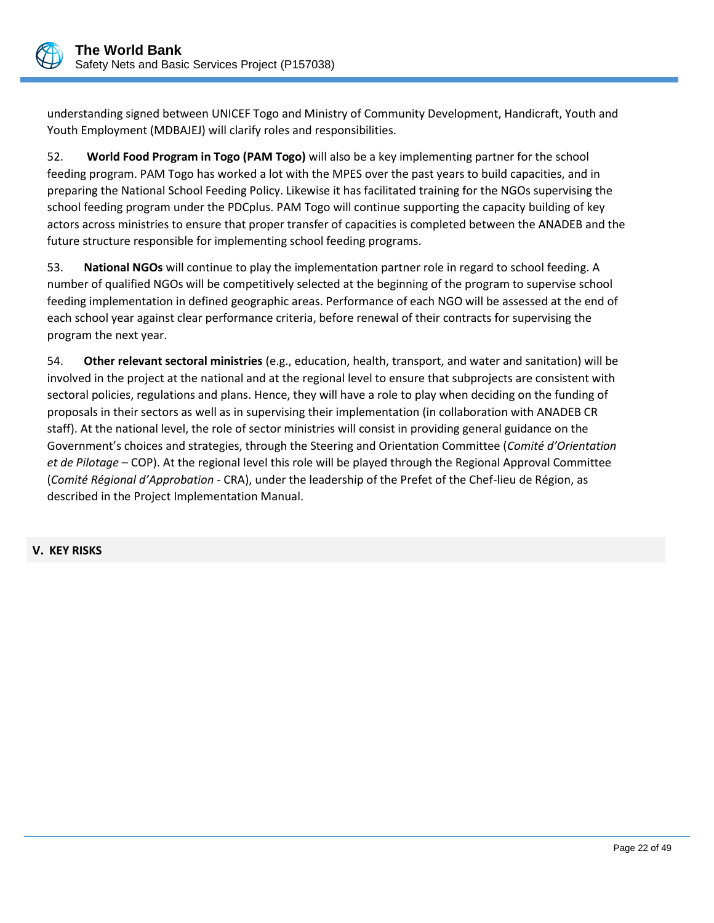

understanding signed between UNICEF Togo and Ministry of Community Development, Handicraft, Youth and Youth Employment (MDBAJEJ) will clarify roles and responsibilities.

52. **World Food Program in Togo (PAM Togo)** will also be a key implementing partner for the school feeding program. PAM Togo has worked a lot with the MPES over the past years to build capacities, and in preparing the National School Feeding Policy. Likewise it has facilitated training for the NGOs supervising the school feeding program under the PDCplus. PAM Togo will continue supporting the capacity building of key actors across ministries to ensure that proper transfer of capacities is completed between the ANADEB and the future structure responsible for implementing school feeding programs.

53. **National NGOs** will continue to play the implementation partner role in regard to school feeding. A number of qualified NGOs will be competitively selected at the beginning of the program to supervise school feeding implementation in defined geographic areas. Performance of each NGO will be assessed at the end of each school year against clear performance criteria, before renewal of their contracts for supervising the program the next year.

54. **Other relevant sectoral ministries** (e.g., education, health, transport, and water and sanitation) will be involved in the project at the national and at the regional level to ensure that subprojects are consistent with sectoral policies, regulations and plans. Hence, they will have a role to play when deciding on the funding of proposals in their sectors as well as in supervising their implementation (in collaboration with ANADEB CR staff). At the national level, the role of sector ministries will consist in providing general guidance on the Government's choices and strategies, through the Steering and Orientation Committee (*Comité d'Orientation et de Pilotage* – COP). At the regional level this role will be played through the Regional Approval Committee (*Comité Régional d'Approbation* - CRA), under the leadership of the Prefet of the Chef-lieu de Région, as described in the Project Implementation Manual.

<span id="page-25-0"></span>**V. KEY RISKS**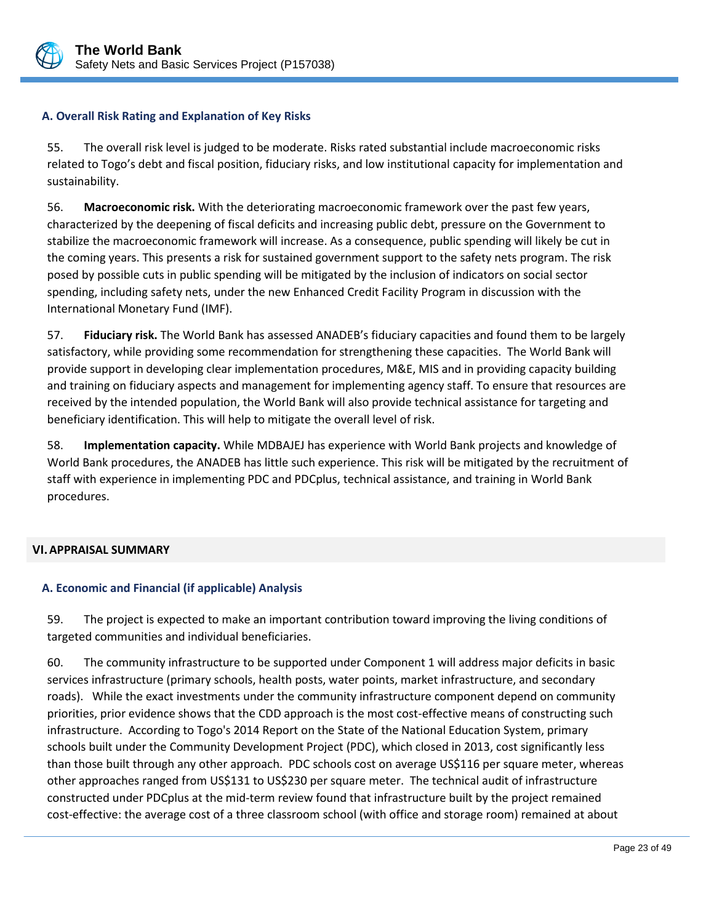

## <span id="page-26-0"></span>**A. Overall Risk Rating and Explanation of Key Risks**

55. The overall risk level is judged to be moderate. Risks rated substantial include macroeconomic risks related to Togo's debt and fiscal position, fiduciary risks, and low institutional capacity for implementation and sustainability.

56. **Macroeconomic risk.** With the deteriorating macroeconomic framework over the past few years, characterized by the deepening of fiscal deficits and increasing public debt, pressure on the Government to stabilize the macroeconomic framework will increase. As a consequence, public spending will likely be cut in the coming years. This presents a risk for sustained government support to the safety nets program. The risk posed by possible cuts in public spending will be mitigated by the inclusion of indicators on social sector spending, including safety nets, under the new Enhanced Credit Facility Program in discussion with the International Monetary Fund (IMF).

57. **Fiduciary risk.** The World Bank has assessed ANADEB's fiduciary capacities and found them to be largely satisfactory, while providing some recommendation for strengthening these capacities. The World Bank will provide support in developing clear implementation procedures, M&E, MIS and in providing capacity building and training on fiduciary aspects and management for implementing agency staff. To ensure that resources are received by the intended population, the World Bank will also provide technical assistance for targeting and beneficiary identification. This will help to mitigate the overall level of risk.

58. **Implementation capacity.** While MDBAJEJ has experience with World Bank projects and knowledge of World Bank procedures, the ANADEB has little such experience. This risk will be mitigated by the recruitment of staff with experience in implementing PDC and PDCplus, technical assistance, and training in World Bank procedures.

## <span id="page-26-1"></span>**VI.APPRAISAL SUMMARY**

## <span id="page-26-2"></span>**A. Economic and Financial (if applicable) Analysis**

59. The project is expected to make an important contribution toward improving the living conditions of targeted communities and individual beneficiaries.

60. The community infrastructure to be supported under Component 1 will address major deficits in basic services infrastructure (primary schools, health posts, water points, market infrastructure, and secondary roads). While the exact investments under the community infrastructure component depend on community priorities, prior evidence shows that the CDD approach is the most cost-effective means of constructing such infrastructure. According to Togo's 2014 Report on the State of the National Education System, primary schools built under the Community Development Project (PDC), which closed in 2013, cost significantly less than those built through any other approach. PDC schools cost on average US\$116 per square meter, whereas other approaches ranged from US\$131 to US\$230 per square meter. The technical audit of infrastructure constructed under PDCplus at the mid-term review found that infrastructure built by the project remained cost-effective: the average cost of a three classroom school (with office and storage room) remained at about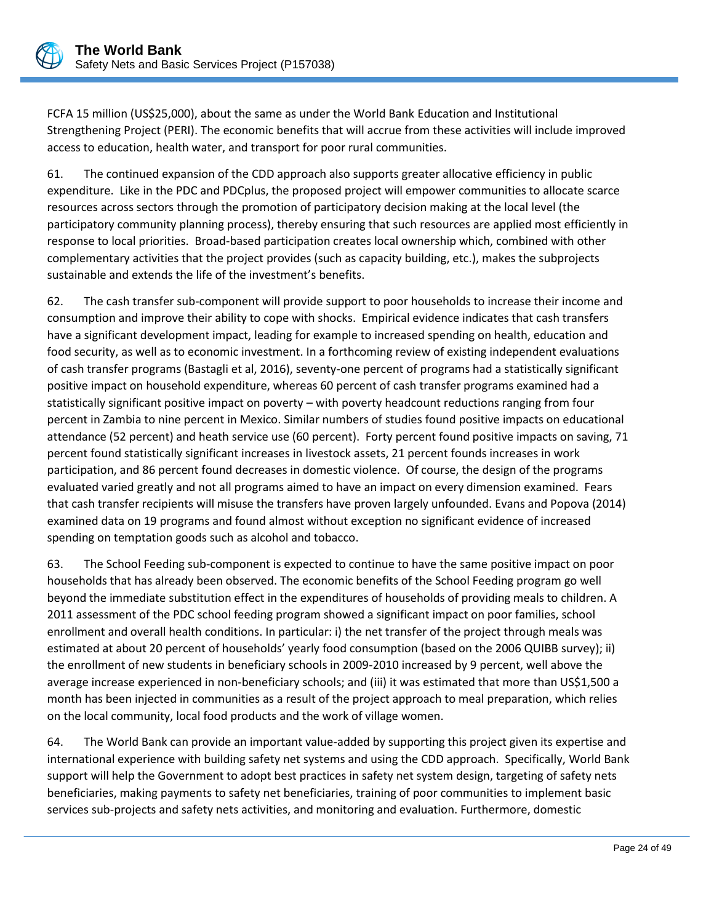

FCFA 15 million (US\$25,000), about the same as under the World Bank Education and Institutional Strengthening Project (PERI). The economic benefits that will accrue from these activities will include improved access to education, health water, and transport for poor rural communities.

61. The continued expansion of the CDD approach also supports greater allocative efficiency in public expenditure. Like in the PDC and PDCplus, the proposed project will empower communities to allocate scarce resources across sectors through the promotion of participatory decision making at the local level (the participatory community planning process), thereby ensuring that such resources are applied most efficiently in response to local priorities. Broad-based participation creates local ownership which, combined with other complementary activities that the project provides (such as capacity building, etc.), makes the subprojects sustainable and extends the life of the investment's benefits.

62. The cash transfer sub-component will provide support to poor households to increase their income and consumption and improve their ability to cope with shocks. Empirical evidence indicates that cash transfers have a significant development impact, leading for example to increased spending on health, education and food security, as well as to economic investment. In a forthcoming review of existing independent evaluations of cash transfer programs (Bastagli et al, 2016), seventy-one percent of programs had a statistically significant positive impact on household expenditure, whereas 60 percent of cash transfer programs examined had a statistically significant positive impact on poverty – with poverty headcount reductions ranging from four percent in Zambia to nine percent in Mexico. Similar numbers of studies found positive impacts on educational attendance (52 percent) and heath service use (60 percent). Forty percent found positive impacts on saving, 71 percent found statistically significant increases in livestock assets, 21 percent founds increases in work participation, and 86 percent found decreases in domestic violence. Of course, the design of the programs evaluated varied greatly and not all programs aimed to have an impact on every dimension examined. Fears that cash transfer recipients will misuse the transfers have proven largely unfounded. Evans and Popova (2014) examined data on 19 programs and found almost without exception no significant evidence of increased spending on temptation goods such as alcohol and tobacco.

63. The School Feeding sub-component is expected to continue to have the same positive impact on poor households that has already been observed. The economic benefits of the School Feeding program go well beyond the immediate substitution effect in the expenditures of households of providing meals to children. A 2011 assessment of the PDC school feeding program showed a significant impact on poor families, school enrollment and overall health conditions. In particular: i) the net transfer of the project through meals was estimated at about 20 percent of households' yearly food consumption (based on the 2006 QUIBB survey); ii) the enrollment of new students in beneficiary schools in 2009-2010 increased by 9 percent, well above the average increase experienced in non-beneficiary schools; and (iii) it was estimated that more than US\$1,500 a month has been injected in communities as a result of the project approach to meal preparation, which relies on the local community, local food products and the work of village women.

64. The World Bank can provide an important value-added by supporting this project given its expertise and international experience with building safety net systems and using the CDD approach. Specifically, World Bank support will help the Government to adopt best practices in safety net system design, targeting of safety nets beneficiaries, making payments to safety net beneficiaries, training of poor communities to implement basic services sub-projects and safety nets activities, and monitoring and evaluation. Furthermore, domestic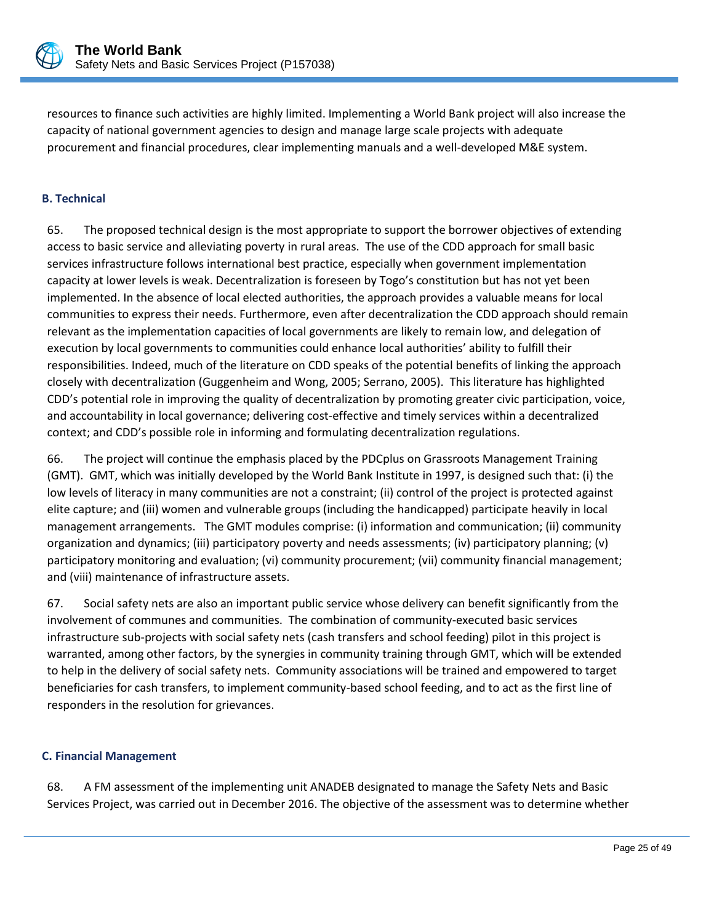

resources to finance such activities are highly limited. Implementing a World Bank project will also increase the capacity of national government agencies to design and manage large scale projects with adequate procurement and financial procedures, clear implementing manuals and a well-developed M&E system.

# <span id="page-28-0"></span>**B. Technical**

65. The proposed technical design is the most appropriate to support the borrower objectives of extending access to basic service and alleviating poverty in rural areas. The use of the CDD approach for small basic services infrastructure follows international best practice, especially when government implementation capacity at lower levels is weak. Decentralization is foreseen by Togo's constitution but has not yet been implemented. In the absence of local elected authorities, the approach provides a valuable means for local communities to express their needs. Furthermore, even after decentralization the CDD approach should remain relevant as the implementation capacities of local governments are likely to remain low, and delegation of execution by local governments to communities could enhance local authorities' ability to fulfill their responsibilities. Indeed, much of the literature on CDD speaks of the potential benefits of linking the approach closely with decentralization (Guggenheim and Wong, 2005; Serrano, 2005). This literature has highlighted CDD's potential role in improving the quality of decentralization by promoting greater civic participation, voice, and accountability in local governance; delivering cost-effective and timely services within a decentralized context; and CDD's possible role in informing and formulating decentralization regulations.

66. The project will continue the emphasis placed by the PDCplus on Grassroots Management Training (GMT). GMT, which was initially developed by the World Bank Institute in 1997, is designed such that: (i) the low levels of literacy in many communities are not a constraint; (ii) control of the project is protected against elite capture; and (iii) women and vulnerable groups (including the handicapped) participate heavily in local management arrangements. The GMT modules comprise: (i) information and communication; (ii) community organization and dynamics; (iii) participatory poverty and needs assessments; (iv) participatory planning; (v) participatory monitoring and evaluation; (vi) community procurement; (vii) community financial management; and (viii) maintenance of infrastructure assets.

67. Social safety nets are also an important public service whose delivery can benefit significantly from the involvement of communes and communities. The combination of community-executed basic services infrastructure sub-projects with social safety nets (cash transfers and school feeding) pilot in this project is warranted, among other factors, by the synergies in community training through GMT, which will be extended to help in the delivery of social safety nets. Community associations will be trained and empowered to target beneficiaries for cash transfers, to implement community-based school feeding, and to act as the first line of responders in the resolution for grievances.

## <span id="page-28-1"></span>**C. Financial Management**

68. A FM assessment of the implementing unit ANADEB designated to manage the Safety Nets and Basic Services Project, was carried out in December 2016. The objective of the assessment was to determine whether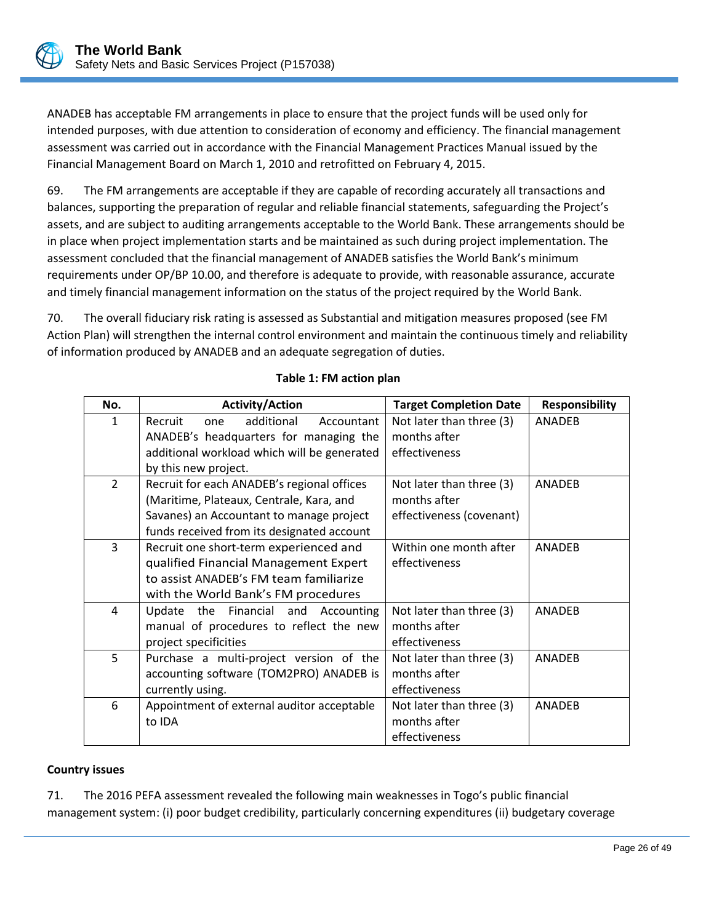ANADEB has acceptable FM arrangements in place to ensure that the project funds will be used only for intended purposes, with due attention to consideration of economy and efficiency. The financial management assessment was carried out in accordance with the Financial Management Practices Manual issued by the Financial Management Board on March 1, 2010 and retrofitted on February 4, 2015.

69. The FM arrangements are acceptable if they are capable of recording accurately all transactions and balances, supporting the preparation of regular and reliable financial statements, safeguarding the Project's assets, and are subject to auditing arrangements acceptable to the World Bank. These arrangements should be in place when project implementation starts and be maintained as such during project implementation. The assessment concluded that the financial management of ANADEB satisfies the World Bank's minimum requirements under OP/BP 10.00, and therefore is adequate to provide, with reasonable assurance, accurate and timely financial management information on the status of the project required by the World Bank.

70. The overall fiduciary risk rating is assessed as Substantial and mitigation measures proposed (see FM Action Plan) will strengthen the internal control environment and maintain the continuous timely and reliability of information produced by ANADEB and an adequate segregation of duties.

| No.            | <b>Activity/Action</b>                      | <b>Target Completion Date</b> | <b>Responsibility</b> |
|----------------|---------------------------------------------|-------------------------------|-----------------------|
| 1              | Recruit<br>additional<br>Accountant<br>one  | Not later than three (3)      | <b>ANADEB</b>         |
|                | ANADEB's headquarters for managing the      | months after                  |                       |
|                | additional workload which will be generated | effectiveness                 |                       |
|                | by this new project.                        |                               |                       |
| $\overline{2}$ | Recruit for each ANADEB's regional offices  | Not later than three (3)      | <b>ANADEB</b>         |
|                | (Maritime, Plateaux, Centrale, Kara, and    | months after                  |                       |
|                | Savanes) an Accountant to manage project    | effectiveness (covenant)      |                       |
|                | funds received from its designated account  |                               |                       |
| 3              | Recruit one short-term experienced and      | Within one month after        | <b>ANADEB</b>         |
|                | qualified Financial Management Expert       | effectiveness                 |                       |
|                | to assist ANADEB's FM team familiarize      |                               |                       |
|                | with the World Bank's FM procedures         |                               |                       |
| 4              | Update the Financial and Accounting         | Not later than three (3)      | <b>ANADEB</b>         |
|                | manual of procedures to reflect the new     | months after                  |                       |
|                | project specificities                       | effectiveness                 |                       |
| 5              | Purchase a multi-project version of the     | Not later than three (3)      | <b>ANADFR</b>         |
|                | accounting software (TOM2PRO) ANADEB is     | months after                  |                       |
|                | currently using.                            | effectiveness                 |                       |
| 6              | Appointment of external auditor acceptable  | Not later than three (3)      | <b>ANADEB</b>         |
|                | to IDA                                      | months after                  |                       |
|                |                                             | effectiveness                 |                       |

# **Table 1: FM action plan**

## **Country issues**

71. The 2016 PEFA assessment revealed the following main weaknesses in Togo's public financial management system: (i) poor budget credibility, particularly concerning expenditures (ii) budgetary coverage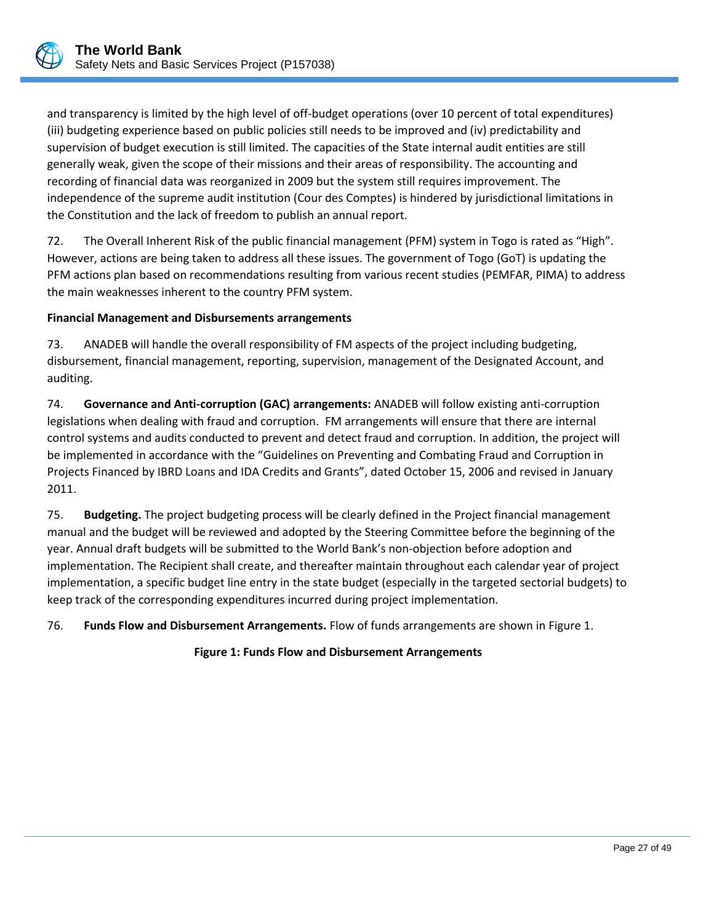

and transparency is limited by the high level of off-budget operations (over 10 percent of total expenditures) (iii) budgeting experience based on public policies still needs to be improved and (iv) predictability and supervision of budget execution is still limited. The capacities of the State internal audit entities are still generally weak, given the scope of their missions and their areas of responsibility. The accounting and recording of financial data was reorganized in 2009 but the system still requires improvement. The independence of the supreme audit institution (Cour des Comptes) is hindered by jurisdictional limitations in the Constitution and the lack of freedom to publish an annual report.

72. The Overall Inherent Risk of the public financial management (PFM) system in Togo is rated as "High". However, actions are being taken to address all these issues. The government of Togo (GoT) is updating the PFM actions plan based on recommendations resulting from various recent studies (PEMFAR, PIMA) to address the main weaknesses inherent to the country PFM system.

## **Financial Management and Disbursements arrangements**

73. ANADEB will handle the overall responsibility of FM aspects of the project including budgeting, disbursement, financial management, reporting, supervision, management of the Designated Account, and auditing.

74. **Governance and Anti-corruption (GAC) arrangements:** ANADEB will follow existing anti-corruption legislations when dealing with fraud and corruption. FM arrangements will ensure that there are internal control systems and audits conducted to prevent and detect fraud and corruption. In addition, the project will be implemented in accordance with the "Guidelines on Preventing and Combating Fraud and Corruption in Projects Financed by IBRD Loans and IDA Credits and Grants", dated October 15, 2006 and revised in January 2011.

75. **Budgeting.** The project budgeting process will be clearly defined in the Project financial management manual and the budget will be reviewed and adopted by the Steering Committee before the beginning of the year. Annual draft budgets will be submitted to the World Bank's non-objection before adoption and implementation. The Recipient shall create, and thereafter maintain throughout each calendar year of project implementation, a specific budget line entry in the state budget (especially in the targeted sectorial budgets) to keep track of the corresponding expenditures incurred during project implementation.

76. **Funds Flow and Disbursement Arrangements.** Flow of funds arrangements are shown in Figure 1.

## **Figure 1: Funds Flow and Disbursement Arrangements**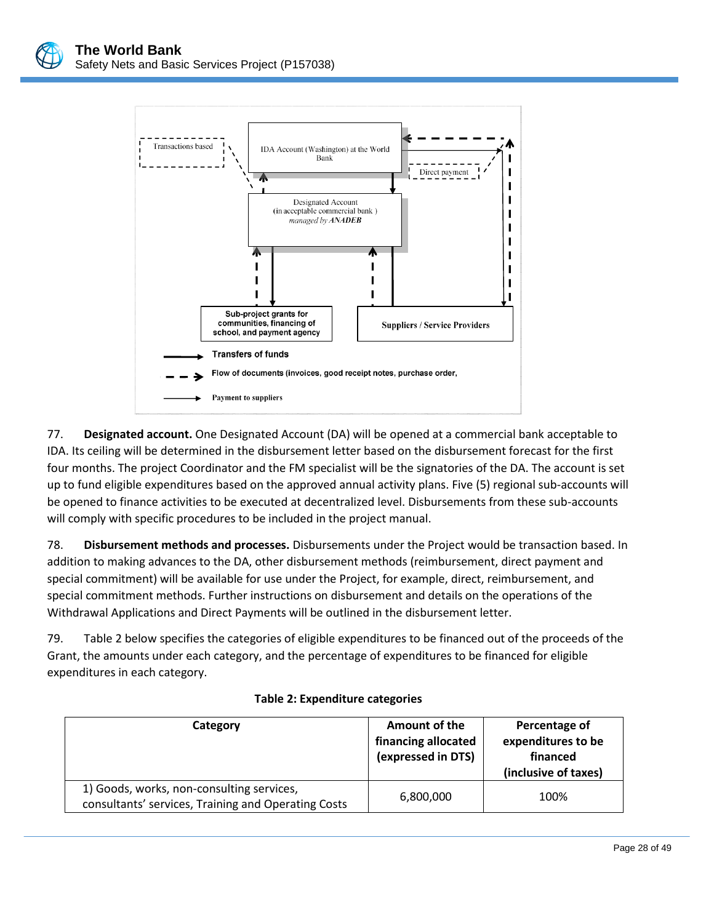

77. **Designated account.** One Designated Account (DA) will be opened at a commercial bank acceptable to IDA. Its ceiling will be determined in the disbursement letter based on the disbursement forecast for the first four months. The project Coordinator and the FM specialist will be the signatories of the DA. The account is set up to fund eligible expenditures based on the approved annual activity plans. Five (5) regional sub-accounts will be opened to finance activities to be executed at decentralized level. Disbursements from these sub-accounts will comply with specific procedures to be included in the project manual.

78. **Disbursement methods and processes.** Disbursements under the Project would be transaction based. In addition to making advances to the DA, other disbursement methods (reimbursement, direct payment and special commitment) will be available for use under the Project, for example, direct, reimbursement, and special commitment methods. Further instructions on disbursement and details on the operations of the Withdrawal Applications and Direct Payments will be outlined in the disbursement letter.

79. Table 2 below specifies the categories of eligible expenditures to be financed out of the proceeds of the Grant, the amounts under each category, and the percentage of expenditures to be financed for eligible expenditures in each category.

| Category                                                                                         | Amount of the<br>financing allocated<br>(expressed in DTS) | Percentage of<br>expenditures to be<br>financed<br>(inclusive of taxes) |
|--------------------------------------------------------------------------------------------------|------------------------------------------------------------|-------------------------------------------------------------------------|
| 1) Goods, works, non-consulting services,<br>consultants' services, Training and Operating Costs | 6,800,000                                                  | 100%                                                                    |

## **Table 2: Expenditure categories**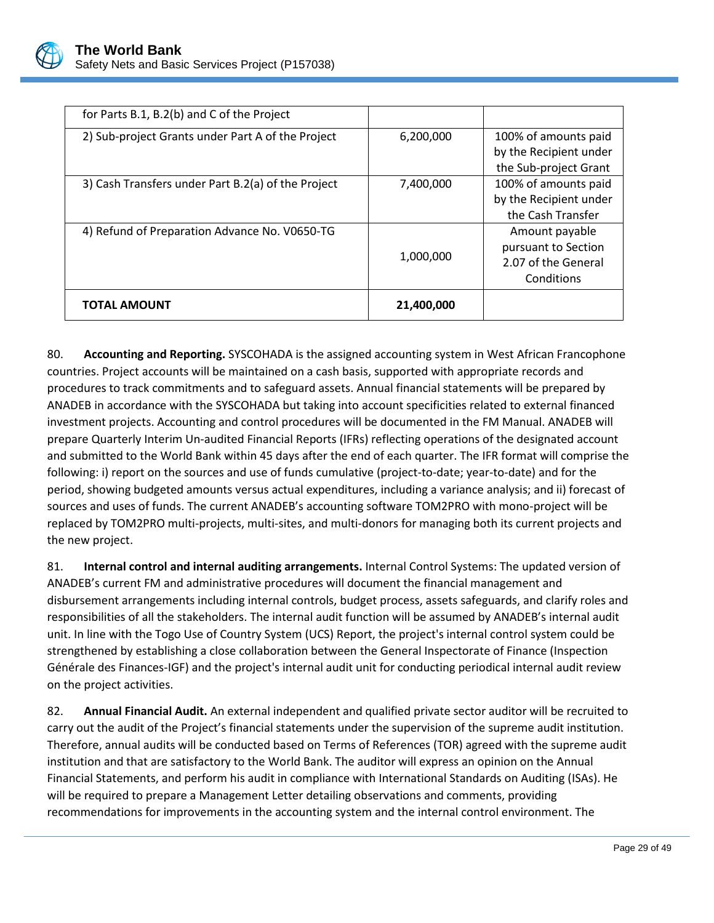

| <b>TOTAL AMOUNT</b>                                | 21,400,000 |                                                                            |
|----------------------------------------------------|------------|----------------------------------------------------------------------------|
| 4) Refund of Preparation Advance No. V0650-TG      | 1,000,000  | Amount payable<br>pursuant to Section<br>2.07 of the General<br>Conditions |
| 3) Cash Transfers under Part B.2(a) of the Project | 7,400,000  | 100% of amounts paid<br>by the Recipient under<br>the Cash Transfer        |
| 2) Sub-project Grants under Part A of the Project  | 6,200,000  | 100% of amounts paid<br>by the Recipient under<br>the Sub-project Grant    |
| for Parts B.1, B.2(b) and C of the Project         |            |                                                                            |

80. **Accounting and Reporting.** SYSCOHADA is the assigned accounting system in West African Francophone countries. Project accounts will be maintained on a cash basis, supported with appropriate records and procedures to track commitments and to safeguard assets. Annual financial statements will be prepared by ANADEB in accordance with the SYSCOHADA but taking into account specificities related to external financed investment projects. Accounting and control procedures will be documented in the FM Manual. ANADEB will prepare Quarterly Interim Un-audited Financial Reports (IFRs) reflecting operations of the designated account and submitted to the World Bank within 45 days after the end of each quarter. The IFR format will comprise the following: i) report on the sources and use of funds cumulative (project-to-date; year-to-date) and for the period, showing budgeted amounts versus actual expenditures, including a variance analysis; and ii) forecast of sources and uses of funds. The current ANADEB's accounting software TOM2PRO with mono-project will be replaced by TOM2PRO multi-projects, multi-sites, and multi-donors for managing both its current projects and the new project.

81. **Internal control and internal auditing arrangements.** Internal Control Systems: The updated version of ANADEB's current FM and administrative procedures will document the financial management and disbursement arrangements including internal controls, budget process, assets safeguards, and clarify roles and responsibilities of all the stakeholders. The internal audit function will be assumed by ANADEB's internal audit unit. In line with the Togo Use of Country System (UCS) Report, the project's internal control system could be strengthened by establishing a close collaboration between the General Inspectorate of Finance (Inspection Générale des Finances-IGF) and the project's internal audit unit for conducting periodical internal audit review on the project activities.

82. **Annual Financial Audit.** An external independent and qualified private sector auditor will be recruited to carry out the audit of the Project's financial statements under the supervision of the supreme audit institution. Therefore, annual audits will be conducted based on Terms of References (TOR) agreed with the supreme audit institution and that are satisfactory to the World Bank. The auditor will express an opinion on the Annual Financial Statements, and perform his audit in compliance with International Standards on Auditing (ISAs). He will be required to prepare a Management Letter detailing observations and comments, providing recommendations for improvements in the accounting system and the internal control environment. The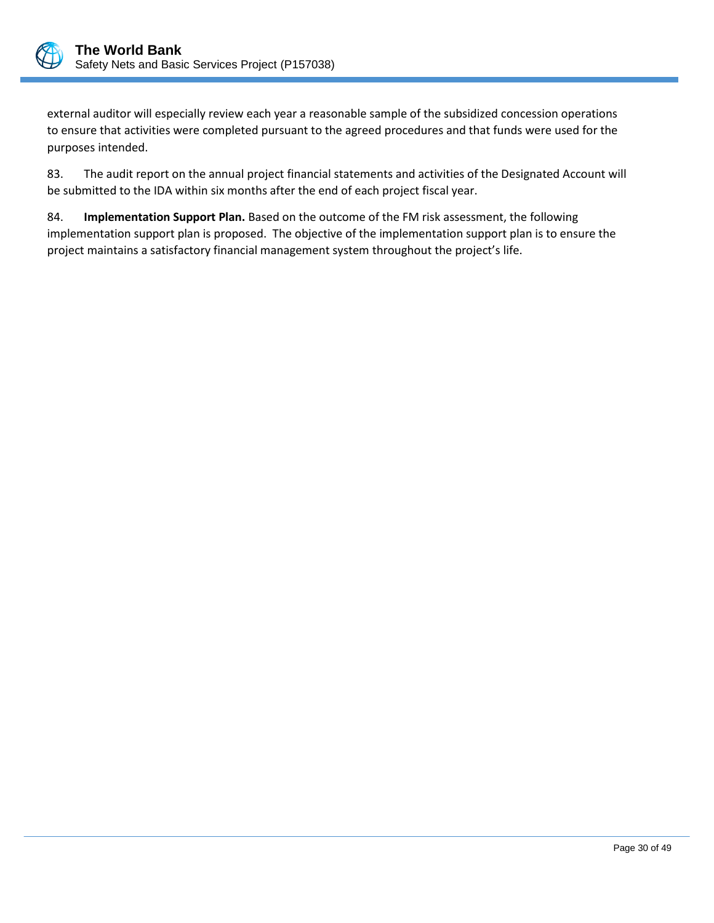

external auditor will especially review each year a reasonable sample of the subsidized concession operations to ensure that activities were completed pursuant to the agreed procedures and that funds were used for the purposes intended.

83. The audit report on the annual project financial statements and activities of the Designated Account will be submitted to the IDA within six months after the end of each project fiscal year.

84. **Implementation Support Plan.** Based on the outcome of the FM risk assessment, the following implementation support plan is proposed. The objective of the implementation support plan is to ensure the project maintains a satisfactory financial management system throughout the project's life.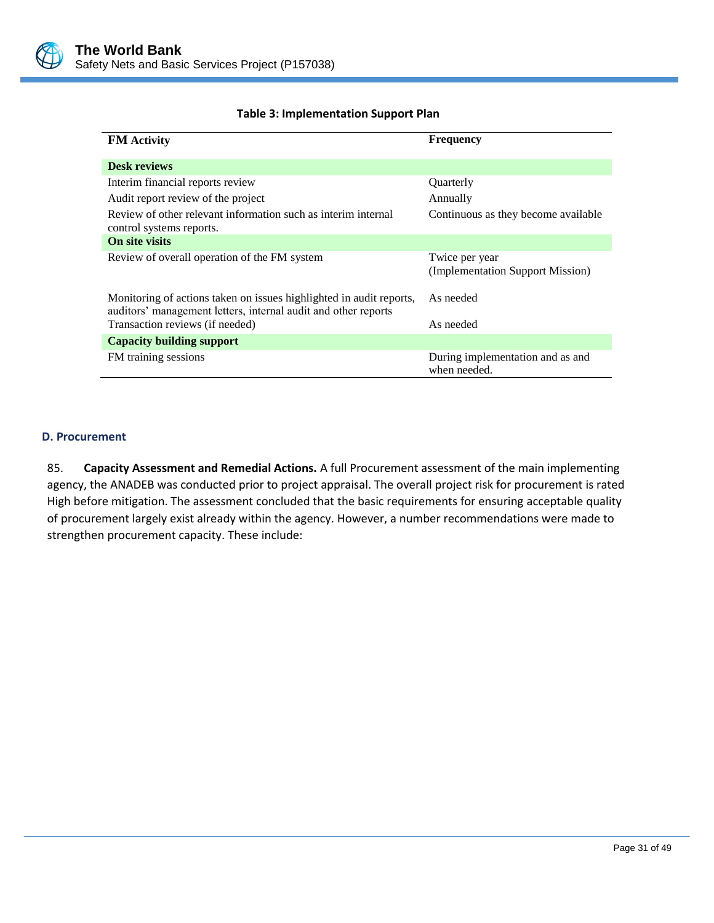

## **Table 3: Implementation Support Plan**

| <b>FM</b> Activity                                                                                                                    | <b>Frequency</b>                                   |
|---------------------------------------------------------------------------------------------------------------------------------------|----------------------------------------------------|
| <b>Desk reviews</b>                                                                                                                   |                                                    |
| Interim financial reports review                                                                                                      | Quarterly                                          |
| Audit report review of the project                                                                                                    | Annually                                           |
| Review of other relevant information such as interim internal<br>control systems reports.                                             | Continuous as they become available                |
| On site visits                                                                                                                        |                                                    |
| Review of overall operation of the FM system                                                                                          | Twice per year<br>(Implementation Support Mission) |
| Monitoring of actions taken on issues highlighted in audit reports,<br>auditors' management letters, internal audit and other reports | As needed                                          |
| Transaction reviews (if needed)                                                                                                       | As needed                                          |
| <b>Capacity building support</b>                                                                                                      |                                                    |
| FM training sessions                                                                                                                  | During implementation and as and<br>when needed.   |

#### <span id="page-34-0"></span>**D. Procurement**

85. **Capacity Assessment and Remedial Actions.** A full Procurement assessment of the main implementing agency, the ANADEB was conducted prior to project appraisal. The overall project risk for procurement is rated High before mitigation. The assessment concluded that the basic requirements for ensuring acceptable quality of procurement largely exist already within the agency. However, a number recommendations were made to strengthen procurement capacity. These include: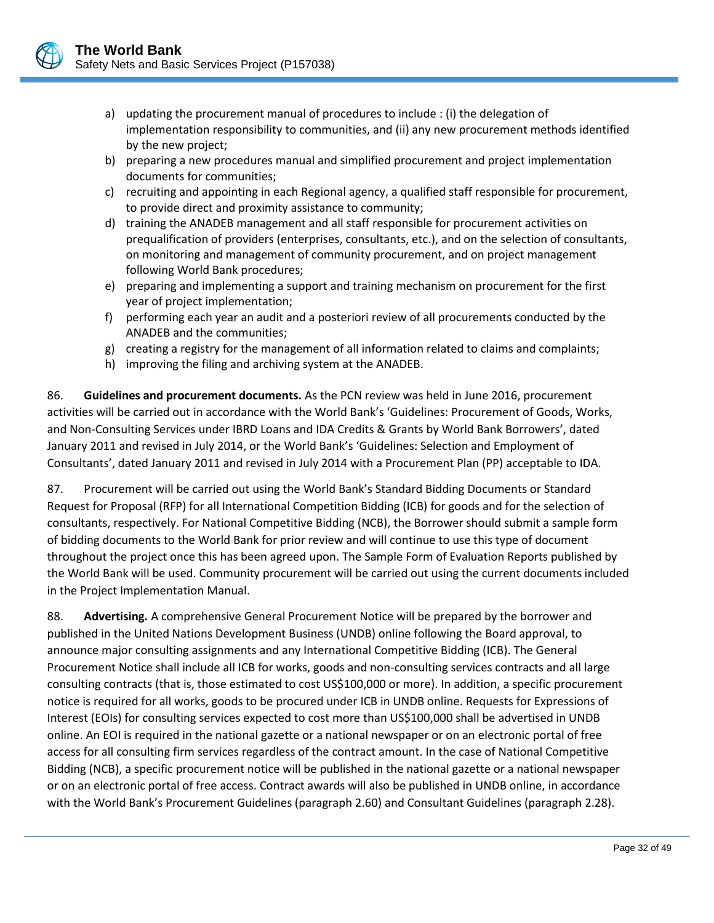

- a) updating the procurement manual of procedures to include : (i) the delegation of implementation responsibility to communities, and (ii) any new procurement methods identified by the new project;
- b) preparing a new procedures manual and simplified procurement and project implementation documents for communities;
- c) recruiting and appointing in each Regional agency, a qualified staff responsible for procurement, to provide direct and proximity assistance to community;
- d) training the ANADEB management and all staff responsible for procurement activities on prequalification of providers (enterprises, consultants, etc.), and on the selection of consultants, on monitoring and management of community procurement, and on project management following World Bank procedures;
- e) preparing and implementing a support and training mechanism on procurement for the first year of project implementation;
- f) performing each year an audit and a posteriori review of all procurements conducted by the ANADEB and the communities;
- g) creating a registry for the management of all information related to claims and complaints;
- h) improving the filing and archiving system at the ANADEB.

86. **Guidelines and procurement documents.** As the PCN review was held in June 2016, procurement activities will be carried out in accordance with the World Bank's 'Guidelines: Procurement of Goods, Works, and Non-Consulting Services under IBRD Loans and IDA Credits & Grants by World Bank Borrowers', dated January 2011 and revised in July 2014, or the World Bank's 'Guidelines: Selection and Employment of Consultants', dated January 2011 and revised in July 2014 with a Procurement Plan (PP) acceptable to IDA.

87. Procurement will be carried out using the World Bank's Standard Bidding Documents or Standard Request for Proposal (RFP) for all International Competition Bidding (ICB) for goods and for the selection of consultants, respectively. For National Competitive Bidding (NCB), the Borrower should submit a sample form of bidding documents to the World Bank for prior review and will continue to use this type of document throughout the project once this has been agreed upon. The Sample Form of Evaluation Reports published by the World Bank will be used. Community procurement will be carried out using the current documents included in the Project Implementation Manual.

88. **Advertising.** A comprehensive General Procurement Notice will be prepared by the borrower and published in the United Nations Development Business (UNDB) online following the Board approval, to announce major consulting assignments and any International Competitive Bidding (ICB). The General Procurement Notice shall include all ICB for works, goods and non-consulting services contracts and all large consulting contracts (that is, those estimated to cost US\$100,000 or more). In addition, a specific procurement notice is required for all works, goods to be procured under ICB in UNDB online. Requests for Expressions of Interest (EOIs) for consulting services expected to cost more than US\$100,000 shall be advertised in UNDB online. An EOI is required in the national gazette or a national newspaper or on an electronic portal of free access for all consulting firm services regardless of the contract amount. In the case of National Competitive Bidding (NCB), a specific procurement notice will be published in the national gazette or a national newspaper or on an electronic portal of free access. Contract awards will also be published in UNDB online, in accordance with the World Bank's Procurement Guidelines (paragraph 2.60) and Consultant Guidelines (paragraph 2.28).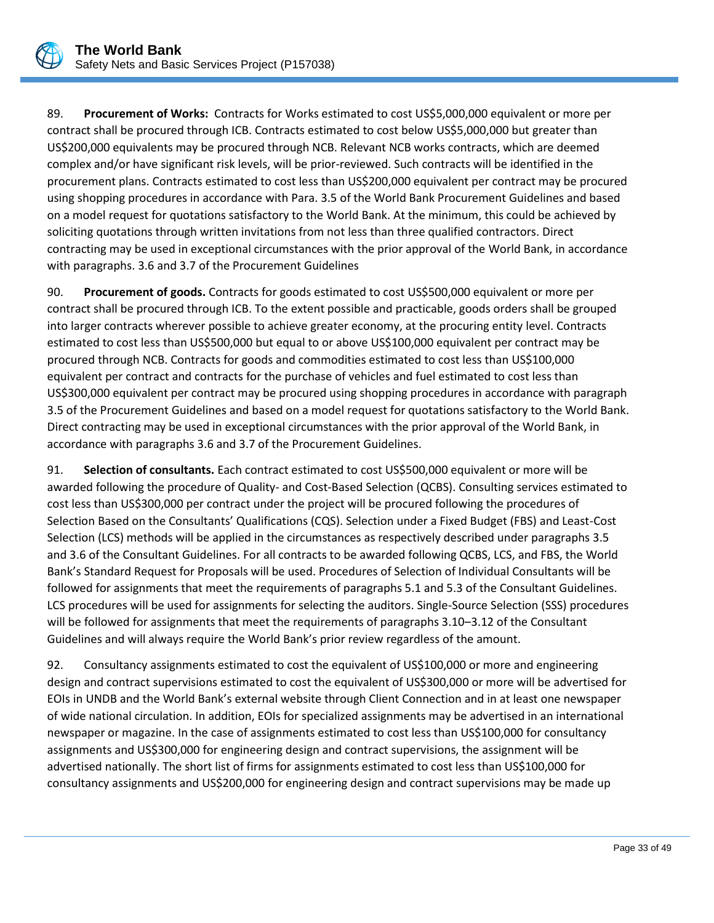

89. **Procurement of Works:** Contracts for Works estimated to cost US\$5,000,000 equivalent or more per contract shall be procured through ICB. Contracts estimated to cost below US\$5,000,000 but greater than US\$200,000 equivalents may be procured through NCB. Relevant NCB works contracts, which are deemed complex and/or have significant risk levels, will be prior-reviewed. Such contracts will be identified in the procurement plans. Contracts estimated to cost less than US\$200,000 equivalent per contract may be procured using shopping procedures in accordance with Para. 3.5 of the World Bank Procurement Guidelines and based on a model request for quotations satisfactory to the World Bank. At the minimum, this could be achieved by soliciting quotations through written invitations from not less than three qualified contractors. Direct contracting may be used in exceptional circumstances with the prior approval of the World Bank, in accordance with paragraphs. 3.6 and 3.7 of the Procurement Guidelines

90. **Procurement of goods.** Contracts for goods estimated to cost US\$500,000 equivalent or more per contract shall be procured through ICB. To the extent possible and practicable, goods orders shall be grouped into larger contracts wherever possible to achieve greater economy, at the procuring entity level. Contracts estimated to cost less than US\$500,000 but equal to or above US\$100,000 equivalent per contract may be procured through NCB. Contracts for goods and commodities estimated to cost less than US\$100,000 equivalent per contract and contracts for the purchase of vehicles and fuel estimated to cost less than US\$300,000 equivalent per contract may be procured using shopping procedures in accordance with paragraph 3.5 of the Procurement Guidelines and based on a model request for quotations satisfactory to the World Bank. Direct contracting may be used in exceptional circumstances with the prior approval of the World Bank, in accordance with paragraphs 3.6 and 3.7 of the Procurement Guidelines.

91. **Selection of consultants.** Each contract estimated to cost US\$500,000 equivalent or more will be awarded following the procedure of Quality- and Cost-Based Selection (QCBS). Consulting services estimated to cost less than US\$300,000 per contract under the project will be procured following the procedures of Selection Based on the Consultants' Qualifications (CQS). Selection under a Fixed Budget (FBS) and Least-Cost Selection (LCS) methods will be applied in the circumstances as respectively described under paragraphs 3.5 and 3.6 of the Consultant Guidelines. For all contracts to be awarded following QCBS, LCS, and FBS, the World Bank's Standard Request for Proposals will be used. Procedures of Selection of Individual Consultants will be followed for assignments that meet the requirements of paragraphs 5.1 and 5.3 of the Consultant Guidelines. LCS procedures will be used for assignments for selecting the auditors. Single-Source Selection (SSS) procedures will be followed for assignments that meet the requirements of paragraphs 3.10–3.12 of the Consultant Guidelines and will always require the World Bank's prior review regardless of the amount.

92. Consultancy assignments estimated to cost the equivalent of US\$100,000 or more and engineering design and contract supervisions estimated to cost the equivalent of US\$300,000 or more will be advertised for EOIs in UNDB and the World Bank's external website through Client Connection and in at least one newspaper of wide national circulation. In addition, EOIs for specialized assignments may be advertised in an international newspaper or magazine. In the case of assignments estimated to cost less than US\$100,000 for consultancy assignments and US\$300,000 for engineering design and contract supervisions, the assignment will be advertised nationally. The short list of firms for assignments estimated to cost less than US\$100,000 for consultancy assignments and US\$200,000 for engineering design and contract supervisions may be made up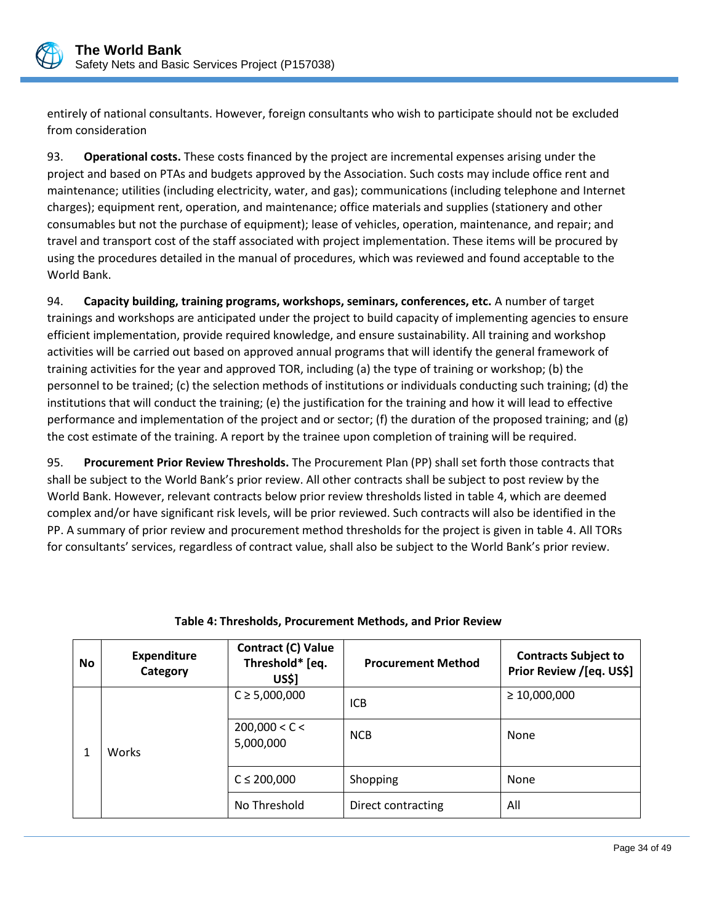

entirely of national consultants. However, foreign consultants who wish to participate should not be excluded from consideration

93. **Operational costs.** These costs financed by the project are incremental expenses arising under the project and based on PTAs and budgets approved by the Association. Such costs may include office rent and maintenance; utilities (including electricity, water, and gas); communications (including telephone and Internet charges); equipment rent, operation, and maintenance; office materials and supplies (stationery and other consumables but not the purchase of equipment); lease of vehicles, operation, maintenance, and repair; and travel and transport cost of the staff associated with project implementation. These items will be procured by using the procedures detailed in the manual of procedures, which was reviewed and found acceptable to the World Bank.

94. **Capacity building, training programs, workshops, seminars, conferences, etc.** A number of target trainings and workshops are anticipated under the project to build capacity of implementing agencies to ensure efficient implementation, provide required knowledge, and ensure sustainability. All training and workshop activities will be carried out based on approved annual programs that will identify the general framework of training activities for the year and approved TOR, including (a) the type of training or workshop; (b) the personnel to be trained; (c) the selection methods of institutions or individuals conducting such training; (d) the institutions that will conduct the training; (e) the justification for the training and how it will lead to effective performance and implementation of the project and or sector; (f) the duration of the proposed training; and (g) the cost estimate of the training. A report by the trainee upon completion of training will be required.

95. **Procurement Prior Review Thresholds.** The Procurement Plan (PP) shall set forth those contracts that shall be subject to the World Bank's prior review. All other contracts shall be subject to post review by the World Bank. However, relevant contracts below prior review thresholds listed in table 4, which are deemed complex and/or have significant risk levels, will be prior reviewed. Such contracts will also be identified in the PP. A summary of prior review and procurement method thresholds for the project is given in table 4. All TORs for consultants' services, regardless of contract value, shall also be subject to the World Bank's prior review.

| <b>No</b> | <b>Expenditure</b><br>Category | Contract (C) Value<br>Threshold* [eq.<br><b>US\$]</b> | <b>Procurement Method</b> | <b>Contracts Subject to</b><br>Prior Review /[eq. US\$] |
|-----------|--------------------------------|-------------------------------------------------------|---------------------------|---------------------------------------------------------|
|           |                                | $C \ge 5,000,000$                                     | <b>ICB</b>                | $\geq 10,000,000$                                       |
|           | <b>Works</b>                   | 200,000 < C <<br>5,000,000                            | <b>NCB</b>                | None                                                    |
|           |                                | $C \le 200,000$                                       | Shopping                  | None                                                    |
|           |                                | No Threshold                                          | Direct contracting        | All                                                     |

# **Table 4: Thresholds, Procurement Methods, and Prior Review**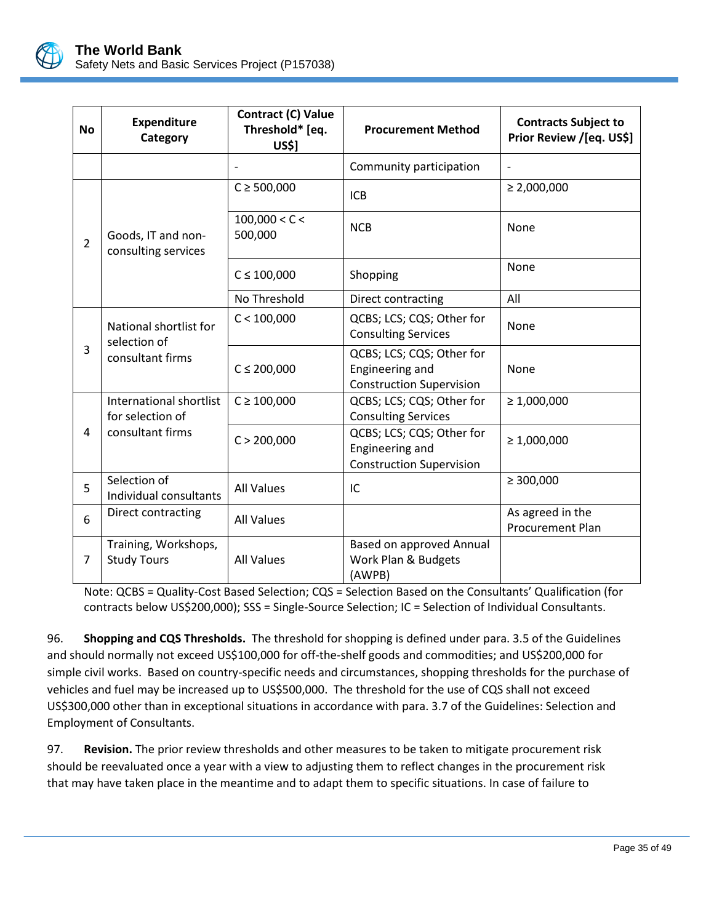

| <b>No</b>      | Contract (C) Value<br><b>Expenditure</b><br>Threshold* [eq.<br><b>Procurement Method</b><br>Category<br><b>US\$1</b> |                          | <b>Contracts Subject to</b><br>Prior Review /[eq. US\$]                         |                                             |
|----------------|----------------------------------------------------------------------------------------------------------------------|--------------------------|---------------------------------------------------------------------------------|---------------------------------------------|
|                |                                                                                                                      |                          | Community participation                                                         |                                             |
|                |                                                                                                                      | $C \ge 500,000$          | <b>ICB</b>                                                                      | $\geq 2,000,000$                            |
| $\overline{2}$ | Goods, IT and non-<br>consulting services                                                                            | 100,000 < C <<br>500,000 | <b>NCB</b>                                                                      | None                                        |
|                |                                                                                                                      | $C \le 100,000$          | Shopping                                                                        | None                                        |
|                |                                                                                                                      | No Threshold             | Direct contracting                                                              | All                                         |
|                | National shortlist for<br>selection of                                                                               | C < 100,000              | QCBS; LCS; CQS; Other for<br><b>Consulting Services</b>                         | None                                        |
| 3              | consultant firms                                                                                                     | $C \le 200,000$          | QCBS; LCS; CQS; Other for<br>Engineering and<br><b>Construction Supervision</b> | None                                        |
|                | International shortlist<br>for selection of                                                                          | $C \ge 100,000$          | QCBS; LCS; CQS; Other for<br><b>Consulting Services</b>                         | $\geq 1,000,000$                            |
| 4              | consultant firms                                                                                                     | C > 200,000              | QCBS; LCS; CQS; Other for<br>Engineering and<br><b>Construction Supervision</b> | $\geq 1,000,000$                            |
| 5              | Selection of<br>Individual consultants                                                                               | <b>All Values</b>        | IC                                                                              | $\geq 300,000$                              |
| 6              | Direct contracting                                                                                                   | <b>All Values</b>        |                                                                                 | As agreed in the<br><b>Procurement Plan</b> |
| 7              | Training, Workshops,<br><b>Study Tours</b>                                                                           | <b>All Values</b>        | Based on approved Annual<br>Work Plan & Budgets<br>(AWPB)                       |                                             |

Note: QCBS = Quality-Cost Based Selection; CQS = Selection Based on the Consultants' Qualification (for contracts below US\$200,000); SSS = Single-Source Selection; IC = Selection of Individual Consultants.

96. **Shopping and CQS Thresholds.** The threshold for shopping is defined under para. 3.5 of the Guidelines and should normally not exceed US\$100,000 for off-the-shelf goods and commodities; and US\$200,000 for simple civil works. Based on country-specific needs and circumstances, shopping thresholds for the purchase of vehicles and fuel may be increased up to US\$500,000. The threshold for the use of CQS shall not exceed US\$300,000 other than in exceptional situations in accordance with para. 3.7 of the Guidelines: Selection and Employment of Consultants.

97. **Revision.** The prior review thresholds and other measures to be taken to mitigate procurement risk should be reevaluated once a year with a view to adjusting them to reflect changes in the procurement risk that may have taken place in the meantime and to adapt them to specific situations. In case of failure to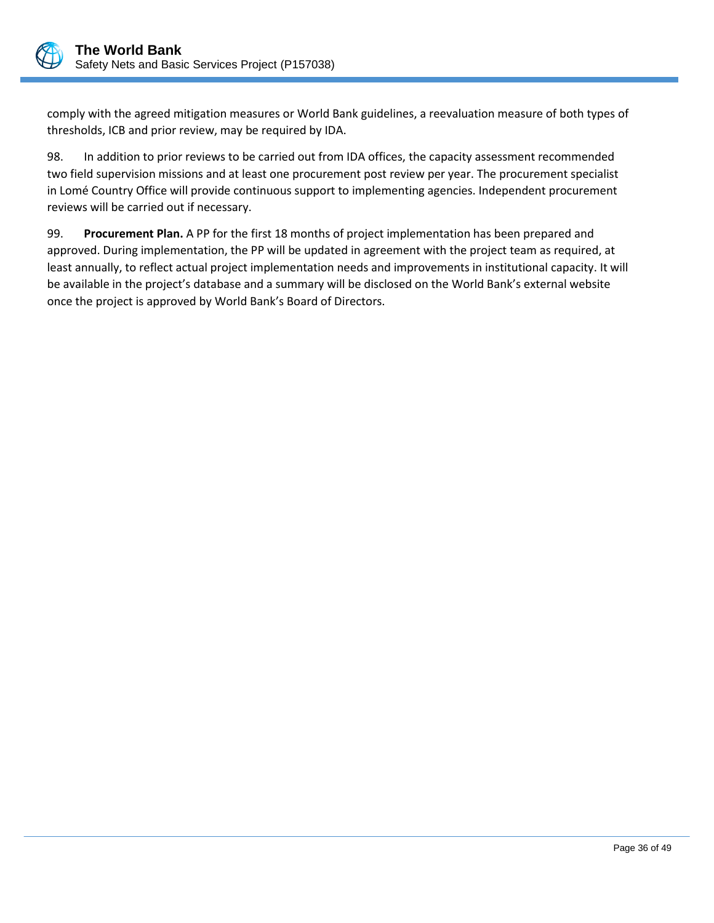

comply with the agreed mitigation measures or World Bank guidelines, a reevaluation measure of both types of thresholds, ICB and prior review, may be required by IDA.

98. In addition to prior reviews to be carried out from IDA offices, the capacity assessment recommended two field supervision missions and at least one procurement post review per year. The procurement specialist in Lomé Country Office will provide continuous support to implementing agencies. Independent procurement reviews will be carried out if necessary.

99. **Procurement Plan.** A PP for the first 18 months of project implementation has been prepared and approved. During implementation, the PP will be updated in agreement with the project team as required, at least annually, to reflect actual project implementation needs and improvements in institutional capacity. It will be available in the project's database and a summary will be disclosed on the World Bank's external website once the project is approved by World Bank's Board of Directors.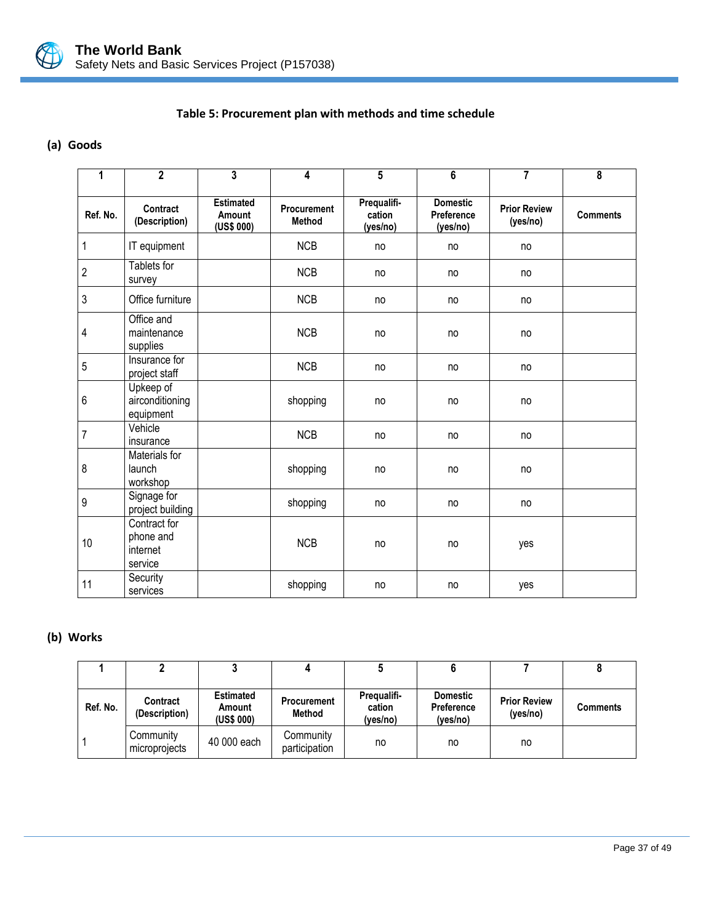

# **Table 5: Procurement plan with methods and time schedule**

## **(a) Goods**

| 1              | $\overline{2}$                                   | 3                                        | 4                                   | 5                                 | 6                                         | $\overline{7}$                  | $\overline{\mathbf{8}}$ |
|----------------|--------------------------------------------------|------------------------------------------|-------------------------------------|-----------------------------------|-------------------------------------------|---------------------------------|-------------------------|
| Ref. No.       | Contract<br>(Description)                        | <b>Estimated</b><br>Amount<br>(US\$ 000) | <b>Procurement</b><br><b>Method</b> | Prequalifi-<br>cation<br>(yes/no) | <b>Domestic</b><br>Preference<br>(yes/no) | <b>Prior Review</b><br>(yes/no) | <b>Comments</b>         |
| $\mathbf{1}$   | IT equipment                                     |                                          | <b>NCB</b>                          | no                                | no                                        | no                              |                         |
| $\overline{2}$ | Tablets for<br>survey                            |                                          | <b>NCB</b>                          | no                                | no                                        | no                              |                         |
| $\mathfrak{Z}$ | Office furniture                                 |                                          | <b>NCB</b>                          | no                                | no                                        | no                              |                         |
| 4              | Office and<br>maintenance<br>supplies            |                                          | <b>NCB</b>                          | no                                | no                                        | no                              |                         |
| 5              | Insurance for<br>project staff                   |                                          | <b>NCB</b>                          | no                                | no                                        | no                              |                         |
| $6\,$          | Upkeep of<br>airconditioning<br>equipment        |                                          | shopping                            | no                                | no                                        | no                              |                         |
| $\overline{7}$ | Vehicle<br>insurance                             |                                          | <b>NCB</b>                          | no                                | no                                        | no                              |                         |
| 8              | Materials for<br>launch<br>workshop              |                                          | shopping                            | no                                | no                                        | no                              |                         |
| $\overline{9}$ | Signage for<br>project building                  |                                          | shopping                            | no                                | no                                        | no                              |                         |
| 10             | Contract for<br>phone and<br>internet<br>service |                                          | <b>NCB</b>                          | no                                | no                                        | yes                             |                         |
| 11             | Security<br>services                             |                                          | shopping                            | no                                | no                                        | yes                             |                         |

## **(b) Works**

| Ref. No. | <b>Contract</b><br>(Description) | <b>Estimated</b><br>Amount<br>(US\$ 000) | <b>Procurement</b><br>Method | Prequalifi-<br>cation<br>(yes/no) | <b>Domestic</b><br><b>Preference</b><br>(ves/no) | <b>Prior Review</b><br>(yes/no) | <b>Comments</b> |
|----------|----------------------------------|------------------------------------------|------------------------------|-----------------------------------|--------------------------------------------------|---------------------------------|-----------------|
|          | Community<br>microprojects       | 40 000 each                              | Community<br>participation   | no                                | no                                               | no                              |                 |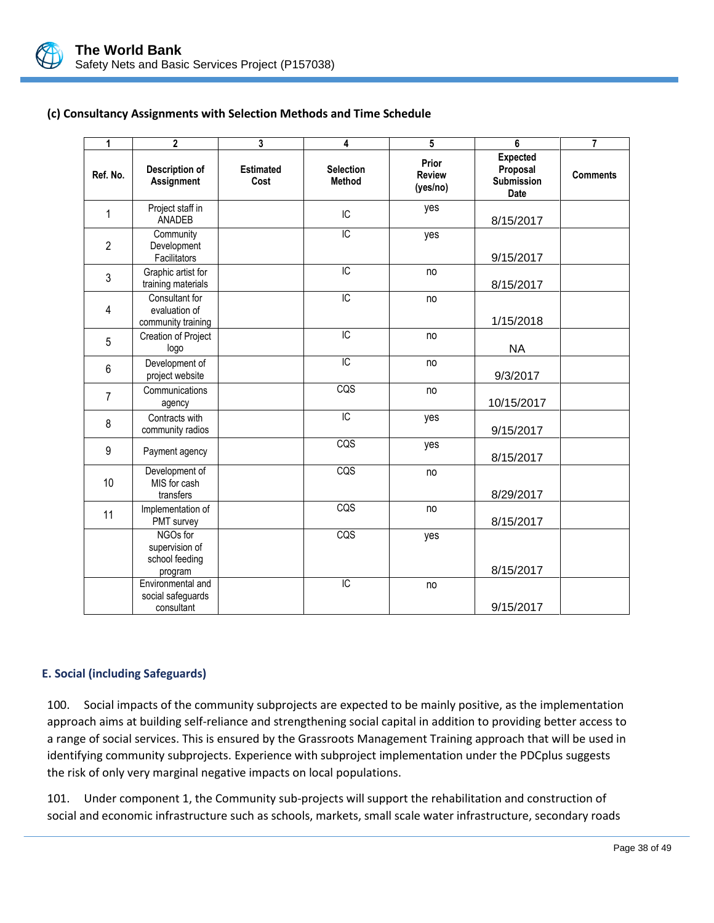

# **(c) Consultancy Assignments with Selection Methods and Time Schedule**

<span id="page-41-0"></span>

| 1              | $\overline{\mathbf{c}}$                                 | 3                        | 4                                 | 5                                  | 6                                                               | $\overline{7}$  |
|----------------|---------------------------------------------------------|--------------------------|-----------------------------------|------------------------------------|-----------------------------------------------------------------|-----------------|
| Ref. No.       | Description of<br>Assignment                            | <b>Estimated</b><br>Cost | <b>Selection</b><br><b>Method</b> | Prior<br><b>Review</b><br>(yes/no) | <b>Expected</b><br>Proposal<br><b>Submission</b><br><b>Date</b> | <b>Comments</b> |
| 1              | Project staff in<br>ANADEB                              |                          | IC                                | yes                                | 8/15/2017                                                       |                 |
| $\overline{2}$ | Community<br>Development<br>Facilitators                |                          | $\overline{IC}$                   | yes                                | 9/15/2017                                                       |                 |
| 3              | Graphic artist for<br>training materials                |                          | $\overline{IC}$                   | no                                 | 8/15/2017                                                       |                 |
| $\overline{4}$ | Consultant for<br>evaluation of<br>community training   |                          | $\overline{C}$                    | no                                 | 1/15/2018                                                       |                 |
| 5              | Creation of Project<br>logo                             |                          | IC                                | no                                 | <b>NA</b>                                                       |                 |
| 6              | Development of<br>project website                       |                          | $\overline{IC}$                   | no                                 | 9/3/2017                                                        |                 |
| $\overline{7}$ | Communications<br>agency                                |                          | CQS                               | no                                 | 10/15/2017                                                      |                 |
| 8              | Contracts with<br>community radios                      |                          | $\overline{IC}$                   | yes                                | 9/15/2017                                                       |                 |
| 9              | Payment agency                                          |                          | CQS                               | yes                                | 8/15/2017                                                       |                 |
| 10             | Development of<br>MIS for cash<br>transfers             |                          | CQS                               | no                                 | 8/29/2017                                                       |                 |
| 11             | Implementation of<br>PMT survey                         |                          | CQS                               | no                                 | 8/15/2017                                                       |                 |
|                | NGOs for<br>supervision of<br>school feeding<br>program |                          | CQS                               | yes                                | 8/15/2017                                                       |                 |
|                | Environmental and<br>social safeguards<br>consultant    |                          | $\overline{C}$                    | no                                 | 9/15/2017                                                       |                 |

# <span id="page-41-1"></span>**E. Social (including Safeguards)**

100. Social impacts of the community subprojects are expected to be mainly positive, as the implementation approach aims at building self-reliance and strengthening social capital in addition to providing better access to a range of social services. This is ensured by the Grassroots Management Training approach that will be used in identifying community subprojects. Experience with subproject implementation under the PDCplus suggests the risk of only very marginal negative impacts on local populations.

101. Under component 1, the Community sub-projects will support the rehabilitation and construction of social and economic infrastructure such as schools, markets, small scale water infrastructure, secondary roads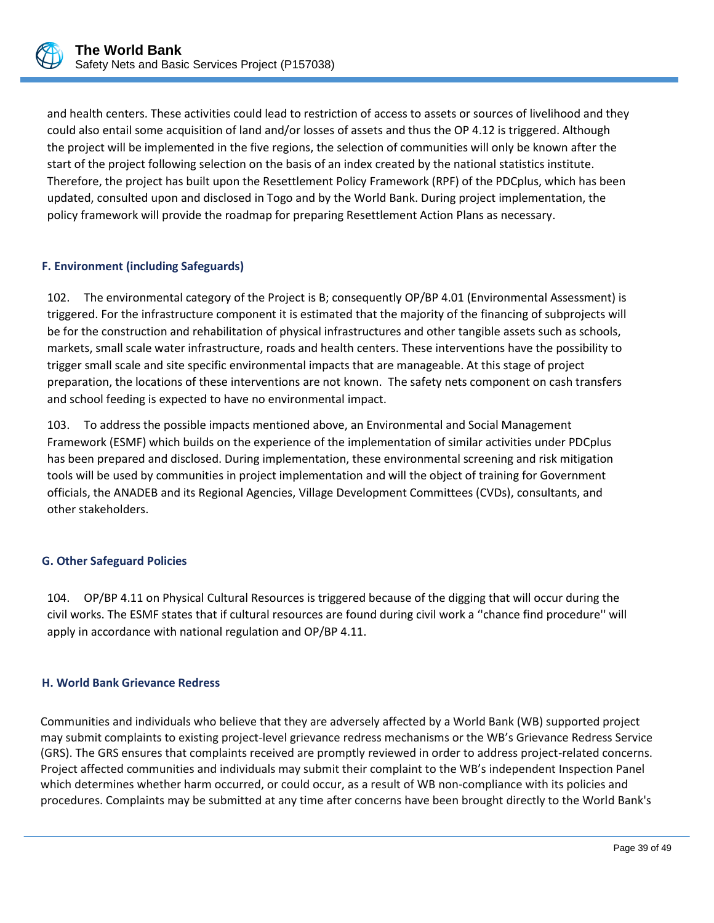

and health centers. These activities could lead to restriction of access to assets or sources of livelihood and they could also entail some acquisition of land and/or losses of assets and thus the OP 4.12 is triggered. Although the project will be implemented in the five regions, the selection of communities will only be known after the start of the project following selection on the basis of an index created by the national statistics institute. Therefore, the project has built upon the Resettlement Policy Framework (RPF) of the PDCplus, which has been updated, consulted upon and disclosed in Togo and by the World Bank. During project implementation, the policy framework will provide the roadmap for preparing Resettlement Action Plans as necessary.

# <span id="page-42-0"></span>**F. Environment (including Safeguards)**

102. The environmental category of the Project is B; consequently OP/BP 4.01 (Environmental Assessment) is triggered. For the infrastructure component it is estimated that the majority of the financing of subprojects will be for the construction and rehabilitation of physical infrastructures and other tangible assets such as schools, markets, small scale water infrastructure, roads and health centers. These interventions have the possibility to trigger small scale and site specific environmental impacts that are manageable. At this stage of project preparation, the locations of these interventions are not known. The safety nets component on cash transfers and school feeding is expected to have no environmental impact.

103. To address the possible impacts mentioned above, an Environmental and Social Management Framework (ESMF) which builds on the experience of the implementation of similar activities under PDCplus has been prepared and disclosed. During implementation, these environmental screening and risk mitigation tools will be used by communities in project implementation and will the object of training for Government officials, the ANADEB and its Regional Agencies, Village Development Committees (CVDs), consultants, and other stakeholders.

## <span id="page-42-1"></span>**G. Other Safeguard Policies**

104. OP/BP 4.11 on Physical Cultural Resources is triggered because of the digging that will occur during the civil works. The ESMF states that if cultural resources are found during civil work a ''chance find procedure'' will apply in accordance with national regulation and OP/BP 4.11.

## <span id="page-42-2"></span>**H. World Bank Grievance Redress**

Communities and individuals who believe that they are adversely affected by a World Bank (WB) supported project may submit complaints to existing project-level grievance redress mechanisms or the WB's Grievance Redress Service (GRS). The GRS ensures that complaints received are promptly reviewed in order to address project-related concerns. Project affected communities and individuals may submit their complaint to the WB's independent Inspection Panel which determines whether harm occurred, or could occur, as a result of WB non-compliance with its policies and procedures. Complaints may be submitted at any time after concerns have been brought directly to the World Bank's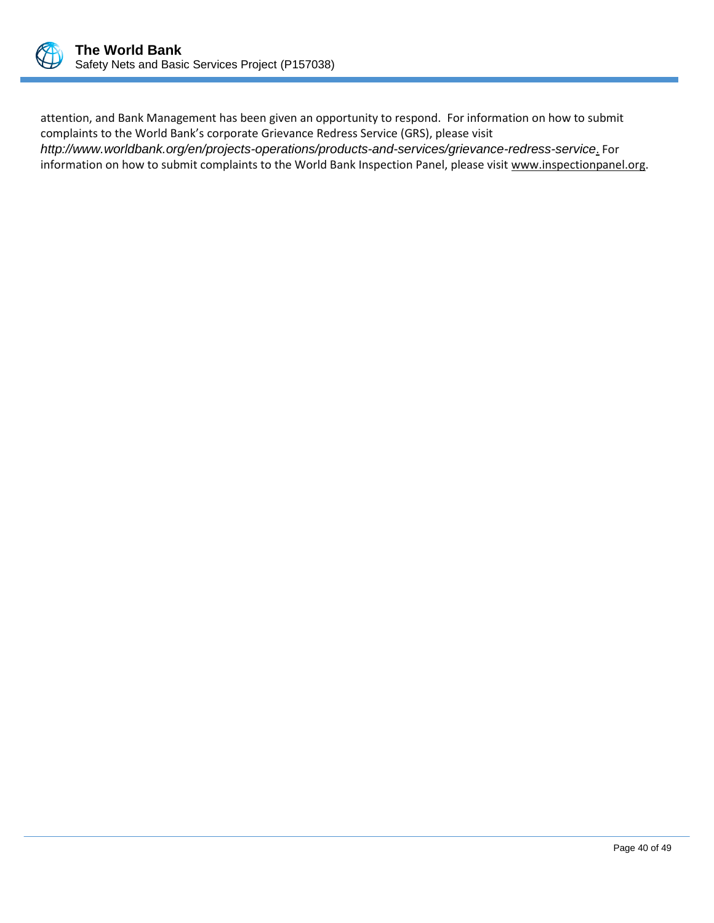

attention, and Bank Management has been given an opportunity to respond. For information on how to submit complaints to the World Bank's corporate Grievance Redress Service (GRS), please visit *<http://www.worldbank.org/en/projects-operations/products-and-services/grievance-redress-service>*. For information on how to submit complaints to the World Bank Inspection Panel, please visit [www.inspectionpanel.org.](http://www.inspectionpanel.org/)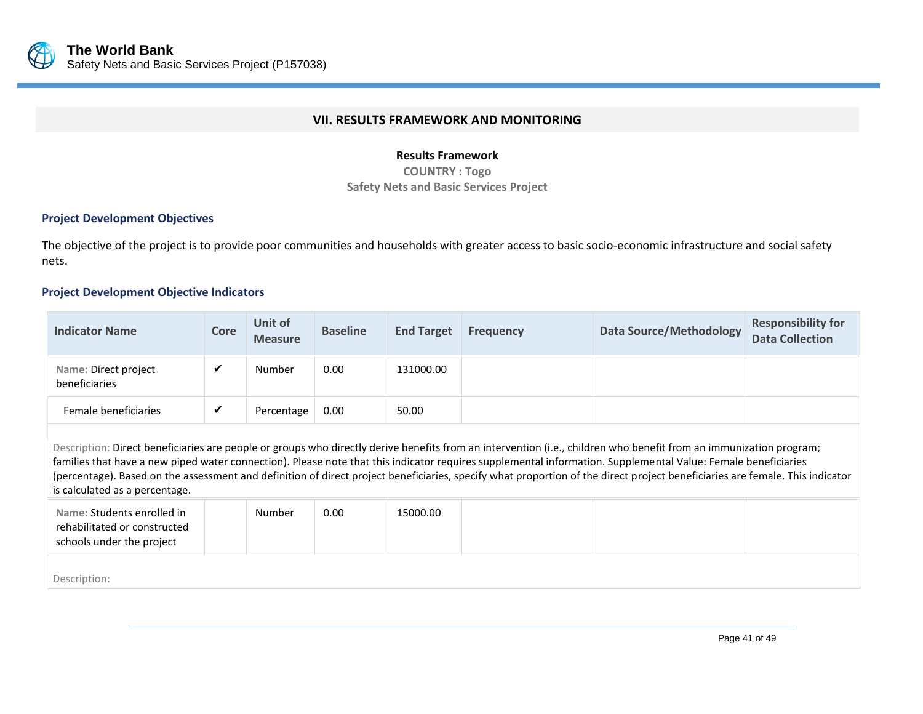

#### **VII. RESULTS FRAMEWORK AND MONITORING**

#### **Results Framework**

**COUNTRY : Togo Safety Nets and Basic Services Project**

#### **Project Development Objectives**

The objective of the project is to provide poor communities and households with greater access to basic socio-economic infrastructure and social safety nets.

#### **Project Development Objective Indicators**

<span id="page-44-0"></span>

| <b>Indicator Name</b>                 | Core | Unit of<br><b>Measure</b> | <b>Baseline</b> | <b>End Target</b> | <b>Frequency</b> | Data Source/Methodology | <b>Responsibility for</b><br><b>Data Collection</b> |
|---------------------------------------|------|---------------------------|-----------------|-------------------|------------------|-------------------------|-----------------------------------------------------|
| Name: Direct project<br>beneficiaries | ں    | Number                    | 0.00            | 131000.00         |                  |                         |                                                     |
| Female beneficiaries                  | ✔    | Percentage                | 0.00            | 50.00             |                  |                         |                                                     |

Description: Direct beneficiaries are people or groups who directly derive benefits from an intervention (i.e., children who benefit from an immunization program; families that have a new piped water connection). Please note that this indicator requires supplemental information. Supplemental Value: Female beneficiaries (percentage). Based on the assessment and definition of direct project beneficiaries, specify what proportion of the direct project beneficiaries are female. This indicator is calculated as a percentage.

| Name: Students enrolled in<br>rehabilitated or constructed<br>schools under the project | Number | 0.00 | 15000.00 |  |  |
|-----------------------------------------------------------------------------------------|--------|------|----------|--|--|
|                                                                                         |        |      |          |  |  |

Description: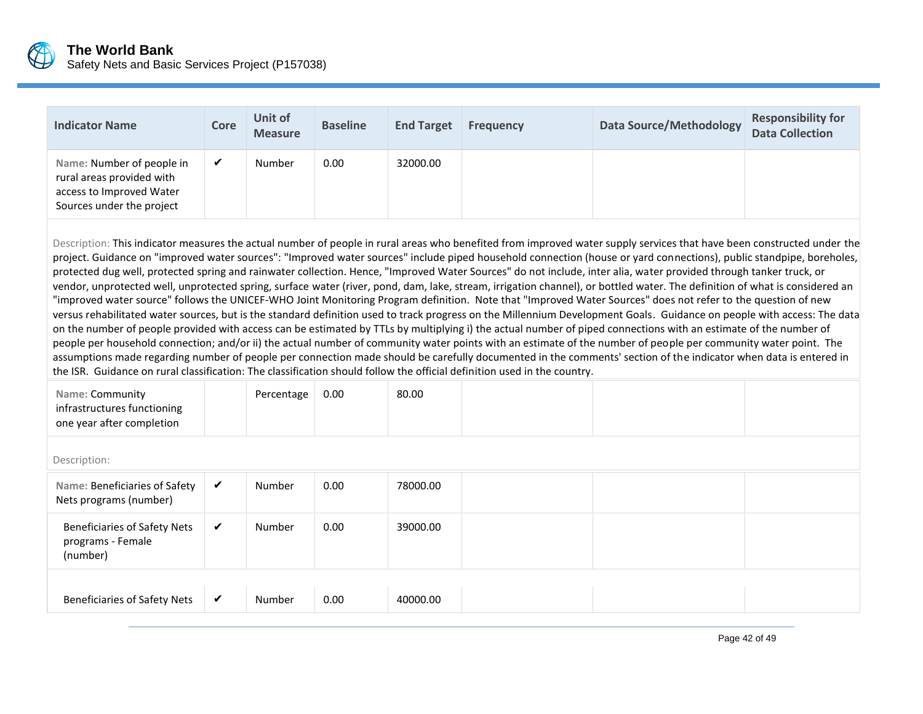

| <b>Indicator Name</b>                                                                                           | Core | Unit of<br><b>Measure</b> | <b>Baseline</b> | <b>End Target</b> | <b>Frequency</b> | Data Source/Methodology | <b>Responsibility for</b><br><b>Data Collection</b> |
|-----------------------------------------------------------------------------------------------------------------|------|---------------------------|-----------------|-------------------|------------------|-------------------------|-----------------------------------------------------|
| Name: Number of people in<br>rural areas provided with<br>access to Improved Water<br>Sources under the project |      | Number                    | 0.00            | 32000.00          |                  |                         |                                                     |

Description: This indicator measures the actual number of people in rural areas who benefited from improved water supply services that have been constructed under the project. Guidance on "improved water sources": "Improved water sources" include piped household connection (house or yard connections), public standpipe, boreholes, protected dug well, protected spring and rainwater collection. Hence, "Improved Water Sources" do not include, inter alia, water provided through tanker truck, or vendor, unprotected well, unprotected spring, surface water (river, pond, dam, lake, stream, irrigation channel), or bottled water. The definition of what is considered an "improved water source" follows the UNICEF-WHO Joint Monitoring Program definition. Note that "Improved Water Sources" does not refer to the question of new versus rehabilitated water sources, but is the standard definition used to track progress on the Millennium Development Goals. Guidance on people with access: The data on the number of people provided with access can be estimated by TTLs by multiplying i) the actual number of piped connections with an estimate of the number of people per household connection; and/or ii) the actual number of community water points with an estimate of the number of people per community water point. The assumptions made regarding number of people per connection made should be carefully documented in the comments' section of the indicator when data is entered in the ISR. Guidance on rural classification: The classification should follow the official definition used in the country.

| Name: Community             | Percentage | $\vert$ 0.00 | 80.00 |  |  |
|-----------------------------|------------|--------------|-------|--|--|
| infrastructures functioning |            |              |       |  |  |
| one year after completion   |            |              |       |  |  |

| Description:                                                         |              |        |      |          |  |  |  |  |  |
|----------------------------------------------------------------------|--------------|--------|------|----------|--|--|--|--|--|
| Name: Beneficiaries of Safety<br>Nets programs (number)              | $\checkmark$ | Number | 0.00 | 78000.00 |  |  |  |  |  |
| <b>Beneficiaries of Safety Nets</b><br>programs - Female<br>(number) | ✔            | Number | 0.00 | 39000.00 |  |  |  |  |  |
|                                                                      |              |        |      |          |  |  |  |  |  |
| <b>Beneficiaries of Safety Nets</b>                                  | $\checkmark$ | Number | 0.00 | 40000.00 |  |  |  |  |  |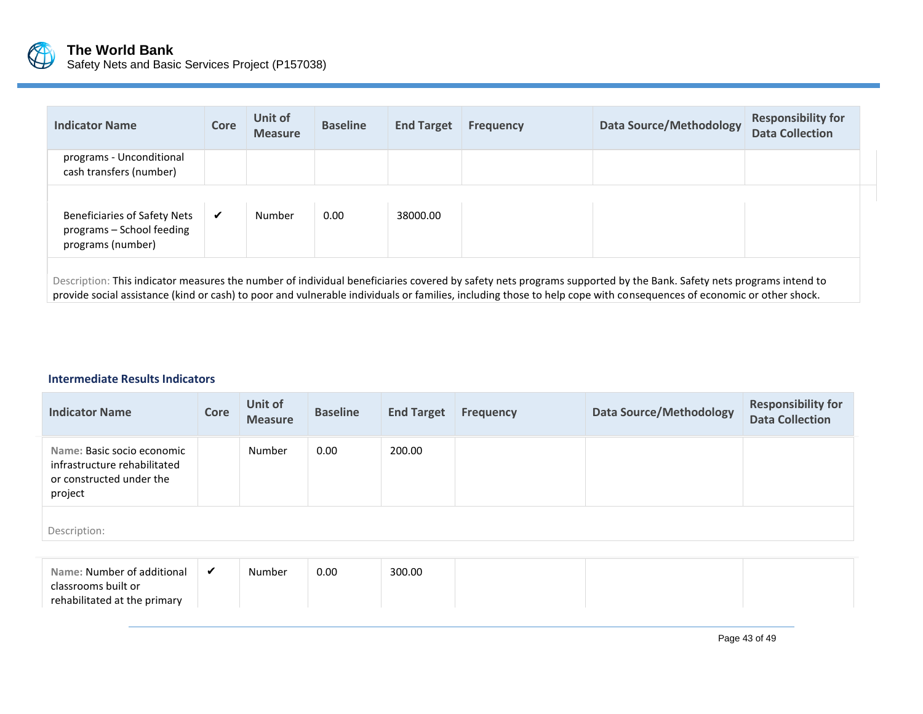

| <b>Indicator Name</b>                                                                 | <b>Core</b> | Unit of<br><b>Measure</b> | <b>Baseline</b> | <b>End Target</b> | <b>Frequency</b> | <b>Data Source/Methodology</b> | <b>Responsibility for</b><br><b>Data Collection</b> |
|---------------------------------------------------------------------------------------|-------------|---------------------------|-----------------|-------------------|------------------|--------------------------------|-----------------------------------------------------|
| programs - Unconditional<br>cash transfers (number)                                   |             |                           |                 |                   |                  |                                |                                                     |
|                                                                                       |             |                           |                 |                   |                  |                                |                                                     |
| <b>Beneficiaries of Safety Nets</b><br>programs - School feeding<br>programs (number) | ✔           | Number                    | 0.00            | 38000.00          |                  |                                |                                                     |
|                                                                                       |             |                           |                 |                   |                  |                                |                                                     |

Description: This indicator measures the number of individual beneficiaries covered by safety nets programs supported by the Bank. Safety nets programs intend to provide social assistance (kind or cash) to poor and vulnerable individuals or families, including those to help cope with consequences of economic or other shock.

# **Intermediate Results Indicators**

| <b>Indicator Name</b>                                                                                                                                                                                                                 | Core | Unit of<br><b>Measure</b>                           | <b>Baseline</b> | <b>End Target</b> | <b>Frequency</b> | <b>Data Source/Methodology</b> | <b>Responsibility for</b><br><b>Data Collection</b> |  |  |  |
|---------------------------------------------------------------------------------------------------------------------------------------------------------------------------------------------------------------------------------------|------|-----------------------------------------------------|-----------------|-------------------|------------------|--------------------------------|-----------------------------------------------------|--|--|--|
| Name: Basic socio economic<br>infrastructure rehabilitated<br>or constructed under the<br>project                                                                                                                                     |      | Number                                              | 0.00            | 200.00            |                  |                                |                                                     |  |  |  |
| Description:                                                                                                                                                                                                                          |      |                                                     |                 |                   |                  |                                |                                                     |  |  |  |
| $\blacksquare$ . The contract of the set of the set of the set of the set of the set of the set of the set of the set of the set of the set of the set of the set of the set of the set of the set of the set of the set of the set o |      | $\blacksquare$ . A functional set of $\blacksquare$ | 0.00            | 200.00            |                  |                                |                                                     |  |  |  |

| Name: Number of additional   | Number | 0.00 | 300.00 |  |
|------------------------------|--------|------|--------|--|
| classrooms built or          |        |      |        |  |
| rehabilitated at the primary |        |      |        |  |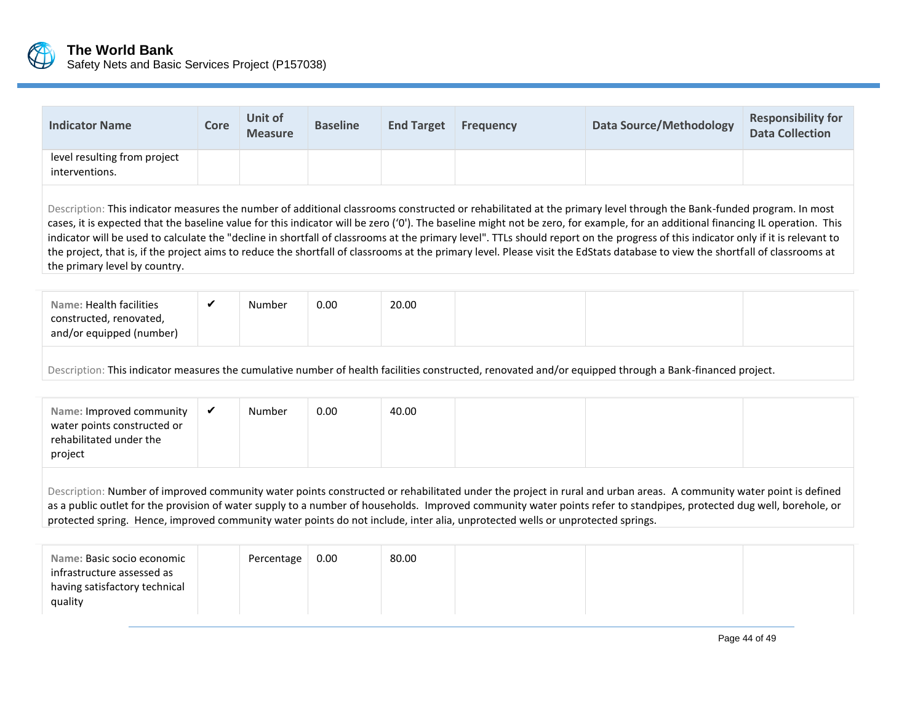

infrastructure assessed as having satisfactory technical

quality

| <b>Indicator Name</b>                                                                                                                                                                                                                                                                                                                                                                                                                                                                                                                                                                                                                                                                                                                                           | Core | <b>Unit of</b><br><b>Measure</b> | <b>Baseline</b> | <b>End Target</b> | <b>Frequency</b> | <b>Data Source/Methodology</b>                                                                                                                          | <b>Responsibility for</b><br><b>Data Collection</b> |  |  |  |
|-----------------------------------------------------------------------------------------------------------------------------------------------------------------------------------------------------------------------------------------------------------------------------------------------------------------------------------------------------------------------------------------------------------------------------------------------------------------------------------------------------------------------------------------------------------------------------------------------------------------------------------------------------------------------------------------------------------------------------------------------------------------|------|----------------------------------|-----------------|-------------------|------------------|---------------------------------------------------------------------------------------------------------------------------------------------------------|-----------------------------------------------------|--|--|--|
| level resulting from project<br>interventions.                                                                                                                                                                                                                                                                                                                                                                                                                                                                                                                                                                                                                                                                                                                  |      |                                  |                 |                   |                  |                                                                                                                                                         |                                                     |  |  |  |
| Description: This indicator measures the number of additional classrooms constructed or rehabilitated at the primary level through the Bank-funded program. In most<br>cases, it is expected that the baseline value for this indicator will be zero ('0'). The baseline might not be zero, for example, for an additional financing IL operation. This<br>indicator will be used to calculate the "decline in shortfall of classrooms at the primary level". TTLs should report on the progress of this indicator only if it is relevant to<br>the project, that is, if the project aims to reduce the shortfall of classrooms at the primary level. Please visit the EdStats database to view the shortfall of classrooms at<br>the primary level by country. |      |                                  |                 |                   |                  |                                                                                                                                                         |                                                     |  |  |  |
| Name: Health facilities<br>constructed, renovated,<br>and/or equipped (number)                                                                                                                                                                                                                                                                                                                                                                                                                                                                                                                                                                                                                                                                                  | ✔    | Number                           | 0.00            | 20.00             |                  |                                                                                                                                                         |                                                     |  |  |  |
|                                                                                                                                                                                                                                                                                                                                                                                                                                                                                                                                                                                                                                                                                                                                                                 |      |                                  |                 |                   |                  | Description: This indicator measures the cumulative number of health facilities constructed, renovated and/or equipped through a Bank-financed project. |                                                     |  |  |  |
| Name: Improved community<br>water points constructed or<br>rehabilitated under the<br>project                                                                                                                                                                                                                                                                                                                                                                                                                                                                                                                                                                                                                                                                   | ✓    | Number                           | 0.00            | 40.00             |                  |                                                                                                                                                         |                                                     |  |  |  |
| Description: Number of improved community water points constructed or rehabilitated under the project in rural and urban areas. A community water point is defined<br>as a public outlet for the provision of water supply to a number of households. Improved community water points refer to standpipes, protected dug well, borehole, or<br>protected spring. Hence, improved community water points do not include, inter alia, unprotected wells or unprotected springs.                                                                                                                                                                                                                                                                                   |      |                                  |                 |                   |                  |                                                                                                                                                         |                                                     |  |  |  |
| Name: Basic socio economic                                                                                                                                                                                                                                                                                                                                                                                                                                                                                                                                                                                                                                                                                                                                      |      | Percentage                       | 0.00            | 80.00             |                  |                                                                                                                                                         |                                                     |  |  |  |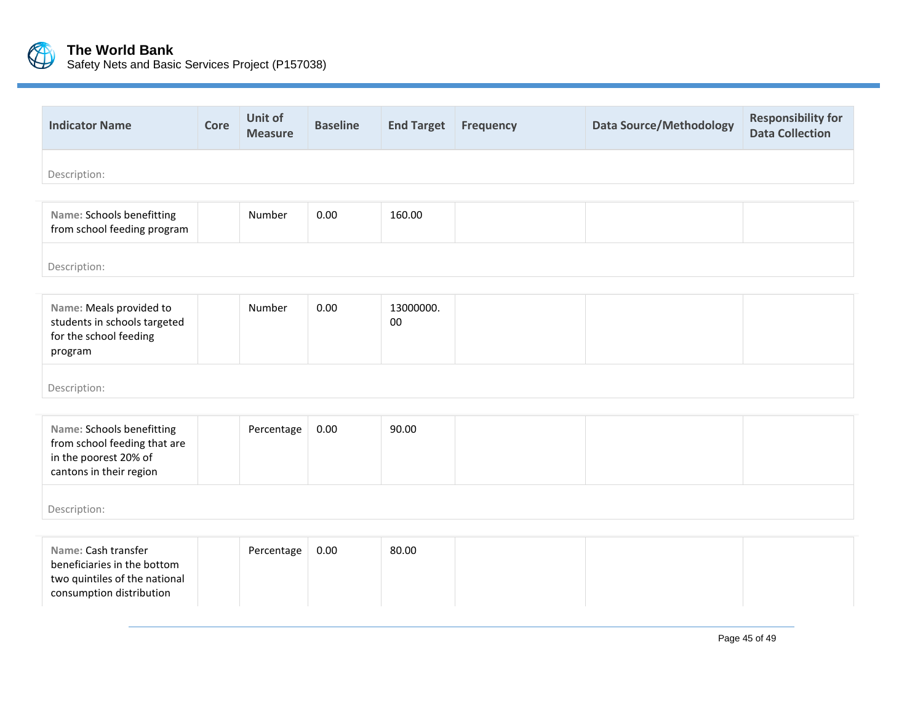

| <b>Indicator Name</b>                                                                                           | Core | Unit of<br><b>Measure</b> | <b>Baseline</b> | <b>End Target</b> | <b>Frequency</b> | <b>Data Source/Methodology</b> | <b>Responsibility for</b><br><b>Data Collection</b> |  |  |  |  |
|-----------------------------------------------------------------------------------------------------------------|------|---------------------------|-----------------|-------------------|------------------|--------------------------------|-----------------------------------------------------|--|--|--|--|
| Description:                                                                                                    |      |                           |                 |                   |                  |                                |                                                     |  |  |  |  |
| Name: Schools benefitting<br>from school feeding program                                                        |      | Number                    | 0.00            | 160.00            |                  |                                |                                                     |  |  |  |  |
| Description:                                                                                                    |      |                           |                 |                   |                  |                                |                                                     |  |  |  |  |
| Name: Meals provided to<br>students in schools targeted<br>for the school feeding<br>program                    |      | Number                    | 0.00            | 13000000.<br>00   |                  |                                |                                                     |  |  |  |  |
| Description:                                                                                                    |      |                           |                 |                   |                  |                                |                                                     |  |  |  |  |
| Name: Schools benefitting<br>from school feeding that are<br>in the poorest 20% of<br>cantons in their region   |      | Percentage                | 0.00            | 90.00             |                  |                                |                                                     |  |  |  |  |
| Description:                                                                                                    |      |                           |                 |                   |                  |                                |                                                     |  |  |  |  |
| Name: Cash transfer<br>beneficiaries in the bottom<br>two quintiles of the national<br>consumption distribution |      | Percentage                | 0.00            | 80.00             |                  |                                |                                                     |  |  |  |  |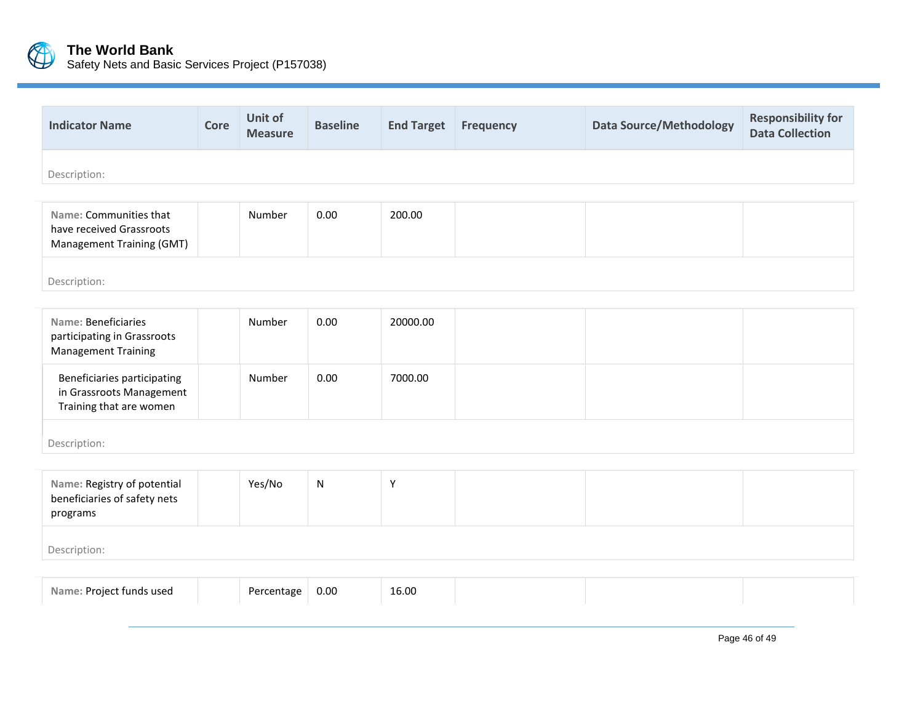

| <b>Indicator Name</b> | Core | Unit of<br><b>Measure</b> | <b>Baseline</b> | <b>End Target</b> | <b>Frequency</b> | Data Source/Methodology | <b>Responsibility for</b><br><b>Data Collection</b> |
|-----------------------|------|---------------------------|-----------------|-------------------|------------------|-------------------------|-----------------------------------------------------|
| Description:          |      |                           |                 |                   |                  |                         |                                                     |

| Name: Communities that<br>have received Grassroots<br><b>Management Training (GMT)</b> | Number | 0.00 | 200.00 |  |  |
|----------------------------------------------------------------------------------------|--------|------|--------|--|--|
| Description:                                                                           |        |      |        |  |  |

| Name: Beneficiaries<br>participating in Grassroots<br><b>Management Training</b>   | Number | 0.00 | 20000.00 |  |  |
|------------------------------------------------------------------------------------|--------|------|----------|--|--|
| Beneficiaries participating<br>in Grassroots Management<br>Training that are women | Number | 0.00 | 7000.00  |  |  |
| Description:                                                                       |        |      |          |  |  |

| Name: Registry of potential<br>beneficiaries of safety nets<br>programs | Yes/No | N |  |  |
|-------------------------------------------------------------------------|--------|---|--|--|
| Description:                                                            |        |   |  |  |

| Proje.<br>nazu zhnut tr |
|-------------------------|
|-------------------------|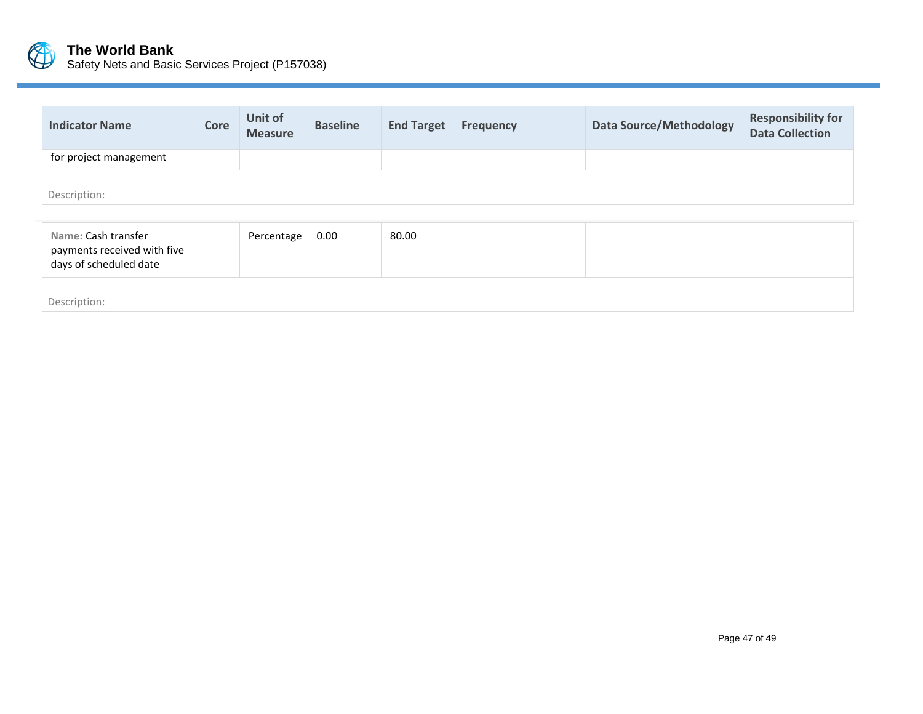

| <b>Indicator Name</b>                                                        | Core | Unit of<br><b>Measure</b> | <b>Baseline</b> | <b>End Target</b> | Frequency | <b>Data Source/Methodology</b> | <b>Responsibility for</b><br><b>Data Collection</b> |
|------------------------------------------------------------------------------|------|---------------------------|-----------------|-------------------|-----------|--------------------------------|-----------------------------------------------------|
| for project management                                                       |      |                           |                 |                   |           |                                |                                                     |
| Description:                                                                 |      |                           |                 |                   |           |                                |                                                     |
| Name: Cash transfer<br>payments received with five<br>days of scheduled date |      | Percentage                | 0.00            | 80.00             |           |                                |                                                     |

Description: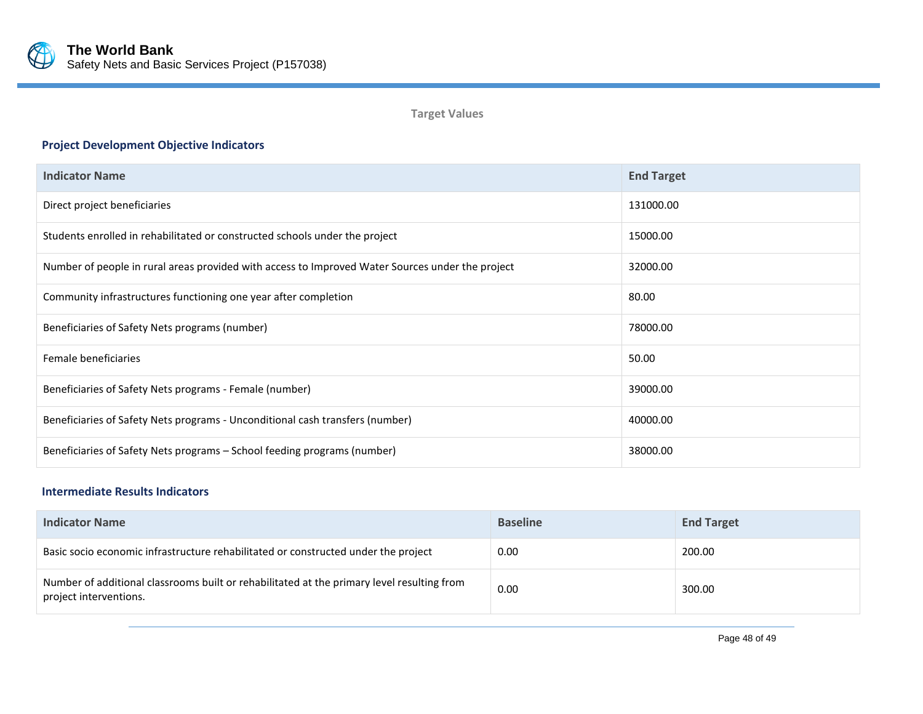

**Target Values**

# **Project Development Objective Indicators**

| <b>Indicator Name</b>                                                                            | <b>End Target</b> |
|--------------------------------------------------------------------------------------------------|-------------------|
| Direct project beneficiaries                                                                     | 131000.00         |
| Students enrolled in rehabilitated or constructed schools under the project                      | 15000.00          |
| Number of people in rural areas provided with access to Improved Water Sources under the project | 32000.00          |
| Community infrastructures functioning one year after completion                                  | 80.00             |
| Beneficiaries of Safety Nets programs (number)                                                   | 78000.00          |
| Female beneficiaries                                                                             | 50.00             |
| Beneficiaries of Safety Nets programs - Female (number)                                          | 39000.00          |
| Beneficiaries of Safety Nets programs - Unconditional cash transfers (number)                    | 40000.00          |
| Beneficiaries of Safety Nets programs - School feeding programs (number)                         | 38000.00          |

# **Intermediate Results Indicators**

| <b>Indicator Name</b>                                                                                                | <b>Baseline</b> | <b>End Target</b> |
|----------------------------------------------------------------------------------------------------------------------|-----------------|-------------------|
| Basic socio economic infrastructure rehabilitated or constructed under the project                                   | 0.00            | 200.00            |
| Number of additional classrooms built or rehabilitated at the primary level resulting from<br>project interventions. | 0.00            | 300.00            |